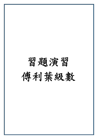習題演習 傅利葉級數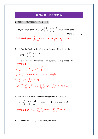## 習題演習:傅利葉級數

■ 週期為 $2\pi$  及任意週期之 Fourier 級數

1. 若  $f(x+2\pi) = f(x)$ , 且  $f(x) = \begin{cases} -1, & -\pi \leq x \leq 0 \\ 1, & 0 < x < \pi \end{cases}$ *f x x* π  $=\begin{cases} -1, & -\pi \leq x \leq \\ 1, & 0 < x < \pi \end{cases}$  $\left|1, 0 \leq x \right|$ ,求其 Fourier 級數。

【91交大土木15%】

【參考解答】 1,3,5  $f(x) = \sum_{n=1,3,5}^{\infty} \frac{4}{n\pi} \sin nx = \frac{4}{\pi} [\sin x + \frac{1}{3} \sin 3x + \frac{1}{5} \sin 5x + \dots]$ ∞  $=\sum_{n=1,3,5}\frac{4}{n\pi}\sin nx = \frac{4}{\pi}[\sin x + \frac{1}{3}\sin 3x + \frac{1}{5}\sin 5x +$ 

2. (1) Find the Fourier series of the given function with period of  $2\pi$ .

$$
f(x) = \begin{cases} 0, & \text{if } -\pi < x < 0 \\ x^2, & \text{if } 0 < x < \pi \end{cases}
$$

 (2) Is Fourier series differentiable term by term? 【91 暨南電機 10%】 【參考解答】

$$
a_0 = \frac{1}{2\pi} \int_{-\pi}^{\pi} f(x) dx = \frac{1}{2\pi} \int_{0}^{\pi} dx = \frac{\pi^2}{6}
$$
  
\n
$$
a_n = \frac{1}{\pi} \int_{-\pi}^{\pi} f(x) \cos nx dx = \frac{1}{\pi} \int_{0}^{\pi} x^2 \cos nx dx = \frac{2(-1)^n}{n^2}
$$
  
\n
$$
b_n = \frac{\pi}{n} (-1)^{n+1} - \frac{2}{n^3 \pi} [1 - (-1)^n]
$$
  
\n
$$
f(x) = \frac{\pi^2}{6} + \sum_{n=1}^{\infty} \frac{2(-1)^n}{n^2} \cos nx + \sum_{n=1}^{\infty} \left[ \frac{\pi}{n} (-1)^{n+1} - \frac{2}{n^3 \pi} (1 - (-1)^n) \right] \sin nx
$$

3. Find the Fourier series of the following periodic function  $f(t)$ .

\n
$$
f(t) =\n \begin{cases}\n 1 + t^2, & \text{if } t < 1, \\
 3 - t, & \text{if } t < 2.\n \end{cases}
$$
\n

\n\n $f(t + 2) = f(t) \quad \text{[91 $\overline{\text{Q}}$} \times \text{[$\overline{\text{R}}$]} \times \text{[10\%]}$ \n

\n\n $f(t) = \frac{17}{6} + \sum_{n=1,3,5}^{\infty} \frac{-4}{n^2 \pi^2} \cos(n\pi t) + \sum_{n=1,3,5}^{\infty} \frac{-4}{n^3 \pi^3} \sin(n\pi t)$ \n

4. Consider the following  $2\pi$ -period square wave function.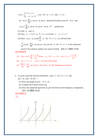$$
f(x) =\begin{cases} 1, & 0 < x < \pi \\ 0, & -\pi < x < 0 \end{cases}, f(x) = 0.5 \text{ at } x = 0 \text{ and } x = \pm \pi \text{ .}
$$
\nLet  $s(x) = \sum_{n=0}^{\infty} a_n \cos nx + b_n \sin nx$  denote the Fourier series of  $f(x)$  and

\n
$$
s_N(x) = \sum_{n=0}^{N} a_n \cos nx + b_n \sin nx \text{ be its } N^{th} \text{ - partial sum.}
$$
\n(1) Find  $a_n$  and  $b_n$ .

\n(2) Does  $s_N \to f(x)$  as  $N \to \infty$  at a fixed  $x, -\pi < x < \pi$ ?

\n(3) Since  $s(x) = f(x)$  and  $\frac{df}{dx} = 0$  for  $0 < x < \pi$ , it is obvious that

\n
$$
\frac{d}{dx}(s(x)) = \sum_{n=0}^{\infty} (-na_n \sin nx + nb_n \cos nx) = 0 \text{ for } 0 < x < \pi
$$
. Is the statement correct? You need to explain your answer briefly. **[89 ÷⊼** *(% 8 % 3 %* **3 [** *(% 8 % 3* **(\*) ]**\n(1)  $f(x) = 0.5 + \sum_{n=1}^{\infty} \frac{1 - (-1)}{n\pi} \sin nx, \quad a_0 = 0.5, \quad a_n = 0, \quad n \neq 0, \quad b_n = \frac{1 - (-1)^n}{n\pi}$ .

\n(2) for  $-\pi < x < \pi$ ,  $s(x) \to f(x)$  for every point.

\n(3)  $\frac{ds(x)}{dx} = \sum_{n=1}^{\infty} -na_n \sin nx + nb_n \cos nx = 0$ , the statement is incorrect.

- (3)  $n=0$ *dx*
- 5. Let g be a periodic function defined by  $g(t) = t^2$  for  $0 < t < 3$  and  $g(t+3) = g(t)$  for all *t*.
	- (1) Draw the graph of g for  $-6 < t < 6$ .
	- (2) Compute the Fourier series of g.
	- (3) Draw the amplitude spectrum of g for the three lowest-frequency components. 【91 台科電機 20%】

```
【參考解答】
```
(1)

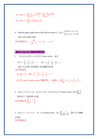(2) 
$$
g(t) = 3 + \sum_{n=1}^{\infty} \frac{9}{n^2 \pi^2} \cos \frac{2n\pi t}{3} + \sum_{n=1}^{\infty} \frac{-9}{n\pi} \sin \frac{2n\pi t}{3}
$$
  
(3)  $g(t) = 3 + \sum_{n=1}^{\infty} c_n \cos(n\omega_0 t + \theta)$ 

6. Find the phase angle form of the Fourier series of  $f(x) = \begin{cases} \cos \pi x, & 0 \le x \le 1 \\ f(x+1), & \forall x \in R \end{cases}$  $f(x) = \begin{cases} \cos \pi x, & 0 \le x \le 1 \\ f(x+1), & \forall x \in R \end{cases}.$ 

【91 北科冷凍 14%】

【參考解答】 $C_n = \frac{8}{4n^2}$  $n - 4n^2 - 1$  $C_n = \frac{8n}{4n^2 - 1}$ ,  $\omega_0 = 2\pi$ ,  $c_0 = 0$ 

■ 奇函數與偶函數之 Fourier Series

1. 求  $f(x) = |x|$ 於 $(-\pi, \pi)$  內之 Fourier series, 並求

(1)  $1 + \frac{1}{3^2} + \frac{1}{5^2} + \frac{1}{7^2} + \dots$  (2)  $1 + \frac{1}{3^4} + \frac{1}{5^4} + \frac{1}{7^4} + \dots$ 

【91 中山材料 20%】【91 屏科機械 30%】 【參考解答】

(1) 
$$
\overline{xy}x=0
$$
,  $\overline{4}y=0$  =  $\frac{\pi}{2} - \frac{4}{\pi}[1 + \frac{1}{3^2} + \frac{1}{5^2} + \dots]$ 

(2) 將 fourier consine series 兩邊同乘 x,並積分,得 2  $\frac{\pi^2}{96}$  = 1 +  $\frac{1}{3^4}$  +  $\frac{1}{5^4}$  +  $\frac{1}{7^4}$  + ...

2.  $f(x) = x^2, 0 \le x \le 2\pi$ ,  $\exists$   $f(x+2\pi) = f(x) \not\exists \xi f(x) \not\ge \text{Fourier series}, \exists x \in \frac{1}{n^2}$ 1  $\sum_{n=1}$  *n* ∞  $+ 2\pi$ ) =  $f(x)$   $\overrightarrow{x}$   $f(x)$   $\overrightarrow{z}$  Fourier series  $\overrightarrow{w}$   $\overrightarrow{x}$   $\sum_{n=1}^{\infty} \frac{1}{n^2}$   $\overrightarrow{r}$  【89 成大工程科學 15%】 2 1  $\frac{\infty}{\pi}$  1  $\pi$ 

【參考解答】  $\frac{1}{4}n^2$  $\sum_{n=1}^{\infty} n^2$  6  $\sum_{n=1}^{\infty} \frac{1}{n^2} =$ 

3.  $f(x) = x^2, -\pi \le x \le \pi$ ,  $\mathcal{R} : (1)$  Fourier series (2)  $\sum_{n=1}^{\infty} \frac{1}{(2n+1)^2}$ 1  $\sum_{n=1}^{n} (2n+1)$  $\sum_{n=1}^{\infty} \frac{1}{(2n+1)^2}$ 。【91 交大機械 15%】 【參考解答】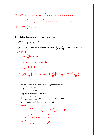取 得 *x* = 0 2 22 2 <sup>111</sup> <sup>1</sup> ..... 2 3 4 12 π − + − + + =− …………………………………(a) *x* = <sup>π</sup> 得 2 222 <sup>111</sup> <sup>1</sup> ..... 234 6 π ++++ = …………………………………….(b) 由(b)-(a)得 2 222 <sup>111</sup> <sup>1</sup> ..... 357 8 π ++++ =

4. (1)Find the Fourier series of  $f(t)$ ,  $-\pi < t < \pi$ .

(2)Show  $1 - \frac{1}{3} + \frac{1}{5} - \frac{1}{7} + \dots = \frac{\pi}{4}$ .

(3)With the series derived in part (1), show that 4  $\frac{1}{4}n^4$ 1  $\sum_{n=1}^{\infty} n^4$  90  $\frac{\infty}{\pi}$  1  $\pi$  $\sum_{n=1}^{\infty} \frac{1}{n^4} = \frac{\pi}{90}$ . 【90 中山材料 10%】 【參考解答】

$$
\blacktriangleright \text{Hom}(A)
$$

- (1)  $f(t) = \sum_{n=0}^{\infty} (-1)^{n+1}$ 1  $(t) = \sum_{n=0}^{\infty} \frac{2}{n} (-1)^{n+1} \sin n$ *n*  $f(t) = \sum (-1)^{n+1} \sin nt$ *n*  $\sum_{n=1}^{\infty} 2^{n+1}$  $=\sum_{n=1}^{\infty}\frac{2}{n}(-$
- (2) at  $t = \frac{\pi}{2}$ , series converges to  $\frac{\pi}{2}$  $\frac{\pi}{4} = 1 - \frac{1}{3} + \frac{1}{5} - \frac{1}{7} + \dots$

(3) 
$$
\int_0^{\pi} t^2 dt = \sum_{n=1}^{\infty} \frac{2}{n} (-1)^{n+1} \int_0^{\pi} t \sin nt dt, \quad \frac{\pi}{3} = \sum_{n=1}^{\infty} \frac{2}{n} (-1)^{n+1} \cdot \frac{\pi}{n} (-1)^{n+1}, \quad \frac{\pi^2}{6} = \sum_{n=1}^{\infty} \frac{1}{n^2}
$$

5. (1) Find the Fourier series of the following periodic function

$$
f(x) = \begin{cases} 0, & -\pi \le x \le 0 \\ \sin x, & 0 \le x \le \pi \end{cases}
$$

(2) Using the derived result calculate

$$
\langle 1 \rangle \frac{1}{1x3} + \frac{1}{3x5} + \frac{1}{5x7} + \dots \quad \langle 2 \rangle \frac{1}{1x3} - \frac{1}{3x5} + \frac{1}{5x7} - \dots
$$

【91 成大機械 20%】【90 中山物理 20%】 【參考解答】

(1) 
$$
f(x) = \frac{1}{\pi} - \frac{2}{\pi} \left[ \frac{1}{3} \cos 2x + \frac{1}{4^2 - 1} \cos 4x + \frac{1}{6^2 - 1} \cos 6x + \dots \right] + \frac{1}{2} \sin x
$$
  
(2) 
$$
1 > \frac{1}{2^2 - 1} + \frac{1}{4^2 - 1} + \frac{1}{6^2 - 1} + \dots = -\frac{1}{2}
$$

$$
<2 > \frac{1}{2^2 - 1} - \frac{1}{4^2 - 1} + \frac{1}{6^2 - 1} - \dots = \frac{1}{4} (\pi - 2)
$$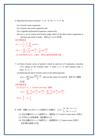- 6. Represent the known function  $y = |x-3|$  for  $2 < x < 4$  by
	- (1) a Fourier series expansion.
	- (2) a Fourier sine series expansion and
	- (3) a Legendre polynomial expansion, respectively.
	- (4) Give a set of criteria and thereby judge which of the above three expansions is the best and which is better. 【88 台大土木 20%】

#### 【參考解答】

(1) 
$$
y = \frac{1}{2} + \frac{4}{\pi^2} \sum_{n=1,3,5}^{\infty} \cos n\pi x
$$

(2) 
$$
y = \sum_{n=1,3,5}^{\infty} \left(\frac{8}{n^2 \pi^2} \sin \frac{n\pi}{2} - \frac{4}{n\pi}\right) \sin \frac{n\pi x}{2}
$$

- (3) 由於無法求出 C<sub>n</sub> 之通式,無法比較收斂速度快慢。
- 7. (1) Find a Fourier series of period 6 which in interval (1,7) represents a function  $f(x)$  taking on the constant value +1 when  $1 < x < 4$  and constant value -1 when  $4 < x < 7$ .
	- (2) Reducing the above Fourier series to the following form:

$$
f(x) = A \sum_{n \text{ood}} B \sin \frac{n\pi(x-1)}{3}
$$
, what are the values of *A* and *B*? [89.

## 12%】

【參考解答】

(1) 取  $f(t+1) \geq$  Fourier sine series 展開

$$
f(x) = \sum_{n=1,3,5}^{\infty} \frac{-4}{n\pi} \sin \frac{n\pi}{3} \cos \frac{n\pi x}{3} + \sum_{n=1,3,5}^{\infty} \frac{4}{n\pi} \cos \frac{n\pi}{3} \sin \frac{n\pi x}{3}
$$
  
(2)  $A = \frac{4}{\pi}$ ,  $b = \frac{1}{n}$ 

- 8. 如果一函數 *f*(*x*)在0≤*x*≤2區間內之定義爲: *f*(*x*)=  $\begin{cases} 3, \text{ for } 0 \leq x \leq 1 \\ 1, \text{ for } 1 < x \leq 2 \end{cases}$  $f(x) = \begin{cases} 3, & \text{for } 0 \leq x \leq 1, \\ 1, & \text{for } 1 < x \leq 1. \end{cases}$  $\left\lfloor 1, \text{ for } 1 < x \leq \right\rfloor$ 
	- (1) 將此函數在0 ≤ ≤*x* 2區間內以一週期為 4 之 Fourier cosine series 來表示
	- (2) 利用(1)之結果推導一個級數和公式
- (3) 將此函數在0≤*x*≤2區間內以一個週期爲 2 之 Fourier series 來表示 【89 雲科營建 25%】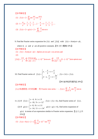【參考解答】

(1) 
$$
f(x) = 2 + \sum_{n=1}^{\infty} \sin \frac{n\pi}{2} \cos \frac{n\pi x}{2}
$$
  
\n(2)  $1 = \frac{4}{\pi} [1 - \frac{1}{3} + \frac{1}{5} - \frac{1}{7} \dots ] , \frac{\pi}{4} = 1 - \frac{1}{3} + \frac{1}{5} - \frac{1}{7} \dots$   
\n(3)  $f(x) = 2 + g(x) = 2 + \sum_{n=1,3,5}^{\infty} \frac{4}{\pi} \sin n\pi x$ 

9. Find the Fourier series expansion for  $f(t)$  and  $|f(t)|$  with  $f(t) = A \sin(\omega t + \phi)$ ,

where *A*,  $ω$  and  $φ$  are all positive constants. [91 清大電機 10%] 【參考解答】 (1)  $f(t) = A \sin(\omega t + \phi) = Ap[\sin \omega t \cos \omega t + \cos \omega t \cdot \sin \omega t]$ (2)  $^{1}_{1,000}$  ot  $\sum$   $^{2}$   $^{2}$   $^{1}_{1}$  (1)<sup>n+1</sup>  $|u(t)| = \frac{2A}{\pi} + \sum_{n=1}^{\infty} \frac{2A\cos n\phi}{\pi(1-n^2)} [1-(-1)^{n+1}] \cdot \cos \omega t + \sum_{n=1}^{\infty} \frac{2A}{\pi(n^2-1)} [1-(-1)^{n+1}] \cdot \sin n\phi \cdot \sin n\phi$  $n=1$   $\mu(1-n)$   $n$  $f(t) = \frac{2A}{\lambda} + \sum_{n=1}^{\infty} \frac{2A \cos n\phi}{n^2} [1 - (-1)^{n+1}]$   $\cdot \cos \omega t + \sum_{n=1}^{\infty} \frac{2A}{n^2} [1 - (-1)^{n+1}]$   $\cdot \sin n\phi \cdot \sin n\omega t$  $n^2$   $\left(\frac{n}{n}\right)$   $\frac{n}{n}$   $\pi(n)$  $\frac{2A}{\pi} + \sum_{n=1}^{\infty} \frac{2A\cos n\phi}{\pi(1-n^2)} [1-(-1)^{n+1}] \cdot \cos \omega t + \sum_{n=1}^{\infty} \frac{2A}{\pi(n^2-1)} [1-(-1)^{n+1}] \cdot \sin n\phi \cdot \sin n\omega$  $\sum_{n=1}^{\infty} 2A\cos n\phi_{\text{r1}}$  (1)<sup>n+1</sup> legge of  $\sum_{n=1}^{\infty} 2A$  [1 (1)<sup>n+1</sup>  $=\frac{2A}{\pi}+\sum_{n=1}^{\infty}\frac{2A\cos n\varphi}{\pi(1-n^2)}[1-(-1)^{n+1}]^{1}\cos \omega t+\sum_{n=1}^{\infty}\frac{2A}{\pi(n^2-1)}[1-(-1)^{n+1}]^{1}\sin n\varphi t$ 

10. Find Fourier series of 
$$
f(x) = \begin{cases} x, & -\frac{\pi}{2} < x < \frac{\pi}{2} \\ \pi - x, & \frac{\pi}{2} < x < \frac{3\pi}{2} \end{cases}
$$
,  $f(x + 2\pi) = f(x)$ .

【90 海洋船研通訊組 20%】

【參考解答】

 $f(x)$  爲週期是 2 的奇函數,取 Fourier sine series, :.  $f(x) = \sum_{n=1}^{\infty} \frac{1}{n^2}$  $f(x) = \sum_{n=1}^{\infty} \frac{4}{n^2} \sin \frac{n\pi}{n^2} \sin \frac{n\pi}{n}$  $\sum_{n=1}^{\infty} n^2 \pi$  2  $f(x) = \sum_{n=1}^{\infty} \frac{4}{n^2} \sin \frac{n\pi}{n^2} \sin nx$ *n* π π ∞  $\therefore f(x) = \sum_{n=1}^{n}$ 

11. (1) If  $f(x) = \begin{cases} x-4, & 6 \le x \le 9 \\ x-10, & 9 < x < 12 \end{cases}$ *f x*  $=\begin{cases} x-4, & 6 \leq x \leq \\ x-10, & 9 < x \end{cases}$  $\left[ x - 10, \, 9 < x \right]$  $f(x) = f(x+6)$ , find Fourier series of  $f(x)$ . (2) If  $g(x) = \begin{cases} x-8, & 8 \leq x \leq 11 \\ x-14, & 11 < x < 14 \end{cases}$ *g x*  $=\begin{cases} x-8, & 8 \leq x \leq \\ x-14, & 11 < x \end{cases}$  $\left\lfloor x - 14, \ 11 < x \right\rfloor$  $g(x) = g(x+6)$ , find series expansion of  $g(x)$  in terms of an expression similar to Fourier series expansion. 【台大土木 25%】 【參考解答】

(1) 
$$
f(x) = h(x) + 2 = 2 \sum_{n=1}^{\infty} \frac{6}{n\pi} (-1)^{n+1} \sin \frac{n\pi x}{3}
$$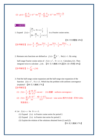(2) 
$$
g(x) = \sum_{n=1}^{\infty} \frac{6}{n\pi} (-1)^{n+1} \sin \frac{n\pi t}{3} = \sum_{n=1}^{\infty} \frac{6}{n\pi} (-1)^{n+1} \sin \frac{n\pi (x-2)}{3}
$$

■ 半幅展開

1. Expand  $f(x) = \begin{cases} \frac{2h}{\ell}x, & 0 \le x \le \frac{\ell}{2} \\ 2h - \frac{2h}{\ell}x, & \frac{\ell}{2} \le \frac{\ell}{2} \end{cases}$  $f(x) = \begin{cases} \frac{x}{2h} & \text{if } x \leq x \\ 2h - \frac{2h}{2}x, & \text{if } x \leq x \end{cases}$  $=\n\begin{cases}\n\frac{2h}{\ell}x, & 0 \leq x \leq \frac{\ell}{2} \\
2h - \frac{2h}{\ell}x, & \frac{\ell}{2} \leq x \leq \ell\n\end{cases}$  $\ell$  $\frac{\ell}{2} \leq x \leq \ell$  $\ell$ in a Fourier cosine series.

【91 中央電機 10%】

$$
\text{[}\text{#}\text{#}\text{#}\text{#}\text{ }f(x) = \frac{h}{2} - \frac{4h}{\pi^2} [\cos \frac{2\pi x}{\ell} + \frac{1}{3^2} \cos \frac{6\pi x}{\ell} + \frac{1}{5} \cos \frac{10\pi x}{\ell} + \dots]
$$

2. Riemann zeta functions are defined as 1  $(z) = \sum k^{-z}$ *k*  $\zeta(z) = \sum_{n=0}^{\infty} k^{-n}$  $=\sum_{k=1}^{n} k^{-z}$ , Re(*z*) > 1. By using half-range Fourier cosine series of  $f(x) = x^2$ ,  $0 < x \le \pi$ . Calculate  $\zeta(2)$ . Then integrate twice to calculate  $\zeta(4)$ . 【91 交大機械 15%】【91 清大物理 10%】

[
$$
\frac{2\pi}{3}
$$
  $I = \frac{\pi^4}{90} = \zeta(4)$ 

3. Find the half-range cosine expansion and the half-range sine expansion of the function  $f(t) = t^2$ ,  $0 \le t \le 1$ . Which has the problem with uniform convergence (explain)? 【89 交大機械 17%】

【參考解答】

- (1)  $f(t) = \frac{1}{2} + \sum_{n=1}^{\infty} \frac{4(-1)^n}{n^2 \pi^2} \cos(n\theta)$ 3  $n^2 \pi$  $f(t) = \frac{1}{2} + \sum_{n=1}^{\infty} \frac{f(1)}{n^2} \cos n\pi t$  $=\frac{1}{3} + \sum_{n=1}^{\infty} \frac{4(-1)^n}{n^2 \pi^2} \cos n\pi t$ , *f*(*t*) 連續, uniform convergence ∘
- (2) 1  $\int_1^1 n\pi$   $n^3\pi^3$  $f(t) = \sum_{n=1}^{\infty} \left[ \frac{2(-1)^{n+1}}{2} - \frac{4[1 - (-1)^n]}{2} \right] \sin n$ *n*  $f(t) = \sum_{n=1}^{\infty} \left[ \frac{2(1-t)}{n} - \frac{\pi [1-(1-t)]}{n} \right] \sin n \pi t$  $\frac{1}{n\pi}$  -  $\frac{1}{n^3\pi^3}$  sin  $n\pi$  $\pi$  n<sup>-</sup> $\pi$ ∞  $2(1)^{n+}$  $=\sum_{n=1}^{\infty}[\frac{2(-1)^{n+1}}{n\pi}-\frac{4[1-(-1)^n]}{n^3\pi^3}]$ sin  $n\pi t$ , sine series 無均勻收斂, 即有 Gibbs 現象發生。
- 4. Let  $f(x) = x$  for  $0 < x < 1$ .
	- (1) Expand  $f(x)$  in Fourier cosine series for period 2.
	- (2) Expand  $f(x)$  in Fourier sine series for period 2.
	- (3) Explain the relation of the solutions obtained form (1) and (2).

【91 成大機械 17%】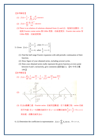【參考解答】

(1) 
$$
f(x) = \frac{1}{2} + \sum_{n=1,3,5}^{\infty} \frac{-4}{n^2 \pi^2} \cos n\pi x
$$

(2) 
$$
f(x) = \sum_{n=1}^{\infty} \frac{2(-1)^{n+1}}{n\pi} \sin n\pi x
$$

(3) There is no relation of solutions obtained from  $(1)$  and  $(2)$ , 勉強找些關係,只 能說 Fourier cosine series 無 Gibbs 現象,收斂速度快, Fourier sine series 有 Gibbs 現象,收斂速度慢。

5. Given 
$$
f(x) = \begin{cases} \frac{2}{L}x + \frac{1}{2}, & \text{when } 0 < x < \frac{L}{2} \\ \frac{4}{L}x + 4, & \text{when } \frac{L}{2} < x < L \end{cases}
$$

- (1) Find the half range Fourier expansion with odd periodic continuation of their function.
- (2) Draw figure of your obtained series, including several cycles.
- (3) Does your obtained series really represent the given function at every point between 0 and L inclusively, give comments (試討論之). 【91 中央光電 14%】

【參考解答】

(1) 
$$
f(x) = \sum_{n=1}^{\infty} \left[ \frac{1}{n\pi} \cos \frac{n\pi}{2} + \frac{1}{n\pi} + \frac{12}{n^2 \pi^2} \sin \frac{n\pi}{2} \right] \cdot \sin \frac{n\pi x}{L}
$$



(3) 在  $f(x)$ 連續之處, Fourier series 收斂到函數値, 在不連續之點, series 收斂 到平均値,在 *x* = 0 級數收斂到 0,在 *x* = L/2 級數收斂到 - (2 + - 2)  $2^{\sim}$  2  $+\frac{3}{2}$ , 0  $\leq x \leq L$ 其餘處,級數收斂到 *f*(*x*)。

6. (1) Determine the coefficient in representation 1  $(x) = \sum A_n \sin n$ *n*  $f(x) = \sum A_n \sin n$ ∞  $=\sum_{n=1}^{\infty} A_n \sin nx, \ \ 0 < x < \pi$ ,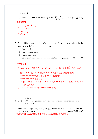$f(x) = 1.1$ .

【參考解答】

 $(2)$  Evaluate the value of the following series

$$
\sum_{n=0}^{\infty} \frac{1}{(2n+1)^2}
$$
. [87  $\frac{\text{ln} \pi}{2}$  20%]

(1) 
$$
f(x) = \sum_{n=1,3,5}^{\infty} \frac{4}{n\pi} \sin nx
$$
  
(2) 
$$
\sum_{n=1,3,5}^{\infty} \frac{1}{n^2} = \frac{\pi^2}{8}
$$

- 7. For a differentiable function  $y(x)$  defined on  $0 \le x \le 1$ , what values do the term-by-term differentiation at  $x = 0$  of the
	- (1) Fourier series
	- (2) Fourier cosine series
	- (3) Fourier sine series
	- (4) Complex Fourier series of y(x) converge to x=0 respectively? 【90 台大土木 16%】

【參考解答】

(1) Fourier series 逐項微分,當 y(0) = y(1),x = 0 時,收斂到 $\frac{1}{2}$  [  $y'(0) + y'(1)$ ]

 $y(0) \neq y(1)$ ;當 x = 0,收斂到∞ 或-∞,逐項微分有脈衝波出現。

- (2) Fourier cosine series 逐項微分在  $x = 0$ , 收斂到 0
- (3) Fourier sine series 逐項微分

當 y(0)=0,在 x=0,收斂到 y′(0) ,當 y(0)≠0,在 x = 0,收斂到∞ 或 −∞ , 有脈衝波出現。

(4) complex Fourier series 與 Fourier series 相同。

8.  $f(x) = \begin{cases} 100, & x = 1 \\ \end{cases}$ , suppose that the Fourier sine and Fourier cosine series of  $1, 0 \leq x < 1$ 2,  $1 < x \leq 2$  $f(x) = \{100, x\}$ *x*  $=\begin{cases} 1, & 0 \leq x < 1 \\ 100, & x = 1 \end{cases}$  $\left[2, 1 < x \leq 2\right]$ 

f(x) converge respectively to  $s(x)$  and  $g(x)$  on interval  $0 \le x < 2$ , without find the series, find s(x) and g(x).  $[90 \frac{m}{m} \times 14\%]$ 【參考解答】s(x)為週期 4 之奇函數,g(x)為週期 4 之偶函數。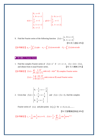$$
s(x) = \begin{cases} 0, & x = 0 \\ 1, & 0 < x < 1 \\ \frac{3}{2}, & x = 1 \\ 2, & 1 < x < 2 \\ 0, & x = 2 \end{cases}, g(x) = \begin{cases} 1, & 0 \le x < 1 \\ \frac{3}{2}, & x = 1 \\ 2, & 1 < x \le 2 \end{cases}
$$

9. Find the Fourier series of the following function  $f(x) = \begin{cases} x, & 0 \le x < 1 \\ 0, & 1 < x < 2 \end{cases}$ *f x*  $=\begin{cases} x, & 0 \leq x < 1 \\ 0, & 1 < x < 2 \end{cases}.$ 【91成大造船10%】

$$
\left[\frac{1}{2} \frac{1}{2} \frac{1}{2} \frac{1}{2} \int_0^2 f(x) dx \cdot a_n = \int_0^2 f(x) \cos n\pi x dx \cdot b_n = \int_0^2 f(x) \sin n\pi x dx
$$

## ■ 複係數之 Fourier Series

1. Find the complex Fourier series of  $f(x) = e^x$  if  $-\pi < x < \pi$ ,  $f(x+2\pi) = f(x)$ , and obtain from it usual Fourier series. 【91 交大機械 25%】

\n
$$
f(x) = \sum_{n=-\infty}^{\infty} \frac{(-1)^n}{\pi(1+n^2)} \sinh \pi \cdot (1-in)e^{inx} \quad \text{for some } x \text{ is a complex Fourier series}
$$
\n

\n\n $f(x) = \frac{1}{\pi} \sum_{n=1}^{\infty} \frac{n \cdot (-1)^n}{\pi(1+n^2)} \sinh \pi \cdot \sin nx \quad \text{for some } n \in \mathbb{N}$ \n

2. Given that 
$$
f(x) = \begin{cases} 0, & -\frac{1}{2} < x < -\frac{1}{4} \\ 1, & -\frac{1}{4} < x < \frac{1}{4} \\ 0, & \frac{1}{4} < x < \frac{1}{2} \end{cases}
$$
 and  $f(x) = f(x+1)$ , find the complex

Fourier series of  $f(x)$  and plot points  $(n, |c_n|)$  for  $n = 0, \pm 1, \pm 2, \dots$ .

【91元智電機控制組20%】

\n
$$
c_n = \frac{1}{n\pi} \sin \frac{1}{2} n\pi, \quad n \neq 0, \quad f(x) = \frac{1}{2} + \sum_{\substack{n = -\infty \\ n \neq -1}}^{\infty} \frac{1}{n\pi} \sin \frac{1}{2} n\pi \cdot e^{i2n\pi x}
$$
\n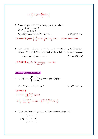$$
c_0 = \int_{\frac{-1}{2}}^{\frac{1}{2}} f(x) dx = \int_{\frac{-1}{4}}^{\frac{1}{4}} 1 \cdot dx = \frac{1}{2}
$$

3. A function f(x) is defined in the range  $[-\pi, \pi]$  as follows:

$$
f(x) = \begin{cases} 0 & \text{for } -\pi < x \le 0 \\ 1 & \text{for } 0 < x \le \pi \end{cases}
$$

Expand  $f(x)$  into a complex Fourier series.

【參考解答】  $f(x) = \frac{1}{2} + \frac{2}{\pi} [\sin x + \frac{1}{3} \sin 3x + \frac{1}{5} \sin 5x + ....]$  [\$| real Fourier series

4. Determine the complex exponential Fourier series coefficient  $c_n$  for the periodic function  $f(t) = e^t \cdot 0 \le t < 1$  and which has the period T=1, and plot the complex

Fourier spectrum  $|c_n|$  versus  $n\omega_0$ .

$$
[90 \text{ 61} \text{14} \text{15} \text{15} \text{16} \text{16}]
$$

【參考解答】 2 2 <sup>1</sup> ( 1) 1 4 *<sup>n</sup> c e <sup>n</sup>* <sup>π</sup> = − <sup>+</sup> <sup>i</sup> <sup>0</sup> ,*n n* <sup>ω</sup> <sup>=</sup> <sup>2</sup> <sup>π</sup>

■ Fourier 積分與 Fourier 轉換

1. (1) 灮數 
$$
f(x) = \begin{cases} 1, |x| < 1 \\ 0, |x| > 1 \end{cases}
$$
 \n  $\geq$  \n Fourier  $\text{if } \frac{1}{2} \Rightarrow \text{ } \frac{1}{2} \Rightarrow \text{ } \frac{1}{2} \Rightarrow \text{ } \frac{1}{2} \Rightarrow \text{ } \frac{1}{2} \Rightarrow \text{ } \frac{1}{2} \Rightarrow \text{ } \frac{1}{2} \Rightarrow \text{ } \frac{1}{2} \Rightarrow \text{ } \frac{1}{2} \Rightarrow \text{ } \frac{1}{2} \Rightarrow \text{ } \frac{1}{2} \Rightarrow \text{ } \frac{1}{2} \Rightarrow \text{ } \frac{1}{2} \Rightarrow \text{ } \frac{1}{2} \Rightarrow \text{ } \frac{1}{2} \Rightarrow \text{ } \frac{1}{2} \Rightarrow \text{ } \frac{1}{2} \Rightarrow \text{ } \frac{1}{2} \Rightarrow \text{ } \frac{1}{2} \Rightarrow \text{ } \frac{1}{2} \Rightarrow \text{ } \frac{1}{2} \Rightarrow \text{ } \frac{1}{2} \Rightarrow \text{ } \frac{1}{2} \Rightarrow \text{ } \frac{1}{2} \Rightarrow \text{ } \frac{1}{2} \Rightarrow \text{ } \frac{1}{2} \Rightarrow \text{ } \frac{1}{2} \Rightarrow \text{ } \frac{1}{2} \Rightarrow \text{ } \frac{1}{2} \Rightarrow \text{ } \frac{1}{2} \Rightarrow \text{ } \frac{1}{2} \Rightarrow \text{ } \frac{1}{2} \Rightarrow \text{ } \frac{1}{2} \Rightarrow \text{ } \frac{1}{2} \Rightarrow \text{ } \frac{1}{2} \Rightarrow \text{ } \frac{1}{2} \Rightarrow \text{ } \frac{1}{2} \Rightarrow \text{ } \frac{1}{2} \Rightarrow \text{ } \frac{1}{2} \Rightarrow \text{ } \frac{1}{2} \Rightarrow \text{ } \frac{1}{2} \Rightarrow \text{ } \frac{1}{2} \Rightarrow \text{ } \frac{1}{2} \Rightarrow \text{ } \frac{1}{2} \Rightarrow \text{ } \frac{1}{2} \Rightarrow \text{ } \frac{1}{2} \Rightarrow \text{ } \frac{1}{2} \Rightarrow \text{ } \frac{1}{2} \Rightarrow \text{ } \frac{1}{2} \Rightarrow \text{ } \frac{1}{2} \Rightarrow \text{ } \frac{1}{2} \Rightarrow \text{ } \frac{1}{2} \Rightarrow \text{ } \frac{1}{2} \Rightarrow$ 

$$
(2) \; \boxplus (1) \nexists \mathfrak{F} \int_0^\infty \frac{\sin x \cos x}{x} dx = ?
$$

∫ =? 【<sup>91</sup> 嘉義土木 15%】

【參考解答】

(1) 
$$
f(x) = \frac{2}{\pi} \int_0^\infty \frac{\sin \omega}{\omega} d\theta
$$
   
  $\Rightarrow$   $f(x) = \frac{2}{\pi} \int_0^\infty \frac{\sin \omega \cdot \cos \omega}{\omega} d\omega$   $\Rightarrow$   $\int_0^\infty \frac{\sin \omega \cdot \cos \omega}{\omega} d\omega = \frac{\pi}{4}$ 

2. (1) Find the Fourier integral representation of the following function.

$$
f(x) = \begin{cases} 0, & x < 0 \\ 1, & 0 < x < 2 \\ 0, & x > 2 \end{cases}
$$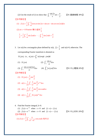(2) Use the result of (1) to show that  $\int_0^\infty \frac{\sin 2}{x}$ 2 *x dx x*  $\int_0^\infty \frac{\sin 2x}{x} dx = \frac{\pi}{2}$ . [91 嘉義機電 30%] 【參考解答】

(1)  $f(x) = \frac{1}{\pi} \int_0^{\infty} \frac{1}{\omega} [\cos \omega x \sin 2\omega + \sin \omega x - \sin \omega x \cos 2\omega] d\omega$  $=\frac{1}{\pi}\int_0^\infty\frac{1}{\omega}[\cos\omega x\sin 2\omega + \sin\omega x -$ (2) at x = 0 Fourier 積分値爲 $\frac{1}{5}$ 2  $\frac{1}{2} = \frac{1}{\pi} \int_0^{\infty} \frac{1}{\omega} \sin 2$ 2  $\frac{1}{\pi}$ <sub>0</sub>  $\frac{1}{\omega}$ sin 2*ωd* ω  $=\frac{1}{\pi}\int_0^\infty\frac{1}{\omega}\sin 2\omega d\omega$   $\therefore \int_0^\infty\frac{1}{x}\sin 2\omega d\omega$ 2 *xdx x*  $\therefore \int_0^\infty \frac{1}{r} \sin 2x dx = \frac{\pi}{2}$ 

3. Let x(t) be a rectangular pluse defined by x(t),  $|t| < \frac{1}{2}$ 2  $|t| < \frac{1}{2}$  and x(t)=0, otherwise. The corresponding Fourier transform is denoted as  $X(j\omega)$ , *i.e.*,  $x(j\omega) = \int_0^\infty x(t) \exp(-j\omega t) dt$ (1)  $X(j\omega)$  (2)  $\int_{-\infty}^{\infty} \frac{\sin \omega}{\omega} d\omega$ ω ∞ ∫−∞ (3)  $\int_{-\infty}^{\infty} \frac{\sin \omega \cos(2\omega)}{\omega} d\omega$ ω  $\int_{-\infty}^{\infty} \frac{\sin \omega \cos(2\omega)}{\omega} d\omega$  (4)  $\int_{-\infty}^{\infty} [x(j\omega)]^2 d\omega$ ∫−∞ 【<sup>91</sup> 中山電機 20%】

【參考解答】

(1)  $X(j\omega) = \frac{2}{\omega} \sin \frac{\omega}{2}$  $\dot{w}$  =  $\frac{2}{\omega}$ (2)  $x(t) = \frac{1}{2\pi} \int_{-\infty}^{\infty} \frac{2}{\omega} \sin \frac{\omega}{2} e^{j\omega t} d\omega$  $=\frac{1}{2\pi}\int_{-\infty}^{\infty}$ (3)  $x(t) = \frac{1}{2\pi} \int_{-\infty}^{\infty} \frac{2}{\omega} \sin \frac{\omega}{2} \cos x \omega t d\omega$  $\pi$   $\rightarrow$   $\infty$   $\omega$  $=\frac{1}{2\pi}\int_{-\infty}^{\infty}$ ∞

$$
(4) \t x(t) = \frac{1}{2\pi} \int_{-\infty}^{\infty} X(j\omega) e^{i\omega t} d\omega
$$

 $\pi^{\bullet 0}$   $\omega$ 

4. Find the Fourier integral, k>0. (1)  $f(x) = e^{-kx}$  when  $x > 0$  and  $f(-x) = f(x)$ (2)  $f(x) = e^{-kx}$  when  $x > 0$  and  $f(-x) = -f(x)$  (91 中山材料 20%) 【參考解答】 (1)  $f(x) = \frac{2}{\pi} \int_0^{\infty} \frac{k}{\omega^2 + k^2} \cos \omega x dx$  $\overline{k^2}$  cos  $\omega$  $=\frac{2}{\pi}\int_0^\infty\!\frac{k}{\omega^2+k^2}\!\cos\omega x dx$  爲所求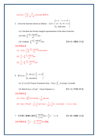5. Given the function shown as follows: 
$$
f(x) = \begin{cases} 1+x, & -1 < x \le 0 \\ -(x-1), & 0 < x \le 1 \\ 0, & \text{otherwise} \end{cases}
$$

 $\overline{k^2}$  sin  $\omega$ 

 $=\frac{2}{\pi}\int_0^\infty\!\frac{k}{\omega^2+k^2}\sin\omega x dx$  爲所求

#### (1) Calculate the Fourier integral representation of the above function.

(2) Find 
$$
\int_0^\infty \frac{(1-\cos \omega)^2}{\omega^2} d\omega.
$$

\n(3) Compute 
$$
\int_0^\infty \frac{(1-\cos \omega)^2}{\omega^4} d\omega.
$$
 [90  $\overrightarrow{m}$ ]\n

\n(4)  $f(x) = \frac{2}{\pi} \int_0^\infty \frac{(1-\cos \omega)}{\omega^2} \cdot \cos \omega \cdot d\omega.$  [90  $\overrightarrow{m}$ ]\n

\n(5)  $\frac{\pi}{2} = \int_0^\infty \frac{1-\cos \omega}{\omega^2} d\omega.$ 

$$
(3) \frac{\pi}{6} = \int_0^\infty \frac{(1-\cos\omega)^2}{\omega^4} d\omega
$$

(2)  $f(x) = \frac{2}{\pi} \int_0^{\infty} \frac{k}{\omega^2 + k^2} \sin \omega x dx$ 

 $\pi \sim \omega$ 

6. 
$$
\stackrel{\text{def}}{=} f(x) = \begin{cases} 1, & \text{for } |x| \leq \frac{a}{2}, & a > 0 \\ 0, & \text{elsewhere} \end{cases}
$$

(1)  $\overrightarrow{\mathcal{R}} f(x)$  if Fourier Transform  $F(u)$ ,  $F(u) = \int_{-\infty}^{\infty} f(x) \exp(-2\pi iux) dx$ .

(2) Sketch <sup>2</sup> *I*() () *u Fu* = versus frequency u. 【91 淡江物理 20%】 【參考解答】

(1) 
$$
F(u) = 2 \int_0^{\frac{a}{2}} \cos 2\pi u x dx = \frac{1}{\pi u} \sin a \pi u
$$
  
\n(2)  $I(u) = |F(u)|^2 = \frac{1}{\pi^2} \cdot \frac{1}{u^2} \sin^2 a \pi u = \frac{1}{2\pi^2} \frac{1}{u^2} [1 - \cos 2\pi a u] \cdot I(-u) = I(u)$ 

7. 利用傳立葉積分語明
$$
\int_0^\infty \frac{\cos x\omega}{1+\omega^2} d\omega = \frac{\pi}{2} e^{-x} \cdot x > 0
$$
 [91 師大機電 15%]  
 [ $\frac{\mathscr{F}}{2}$   $\frac{\pi}{2} e^{-x} = \int_0^\infty \frac{\cos \omega x}{1+\omega^2} d\omega$ 得語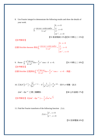8. Use Fourier integral to demonstrate the following results and show the details of your work.

$$
\int_0^\infty \frac{\cos x\omega + \omega \sin x \omega d\omega}{1 + \omega^2} = \begin{cases} 0, & x < 0 \\ \frac{\pi}{2}, & x = 0 \\ \pi e^{-x}, & x > 0 \end{cases}
$$

【91 彰師機械 15%】【90 中興化工 15%】

【參考解答】

依據 Dirichlet theorem 得知 $\int_0^\infty \frac{\cos x\omega + \omega \sin x \omega d\omega}{1 + \omega^2} = \left\{ \frac{\pi}{2}, x = 0 \right\}$  $\begin{bmatrix} 0, & x < 0 \\ 0, & x \end{bmatrix}$  $x, x > 0$  $\frac{x\omega + \omega \sin x \omega d\omega}{2} = \frac{\pi}{2}, x$  $e^{-x}$ , x  $\alpha \omega + \omega \sin x \omega \omega \omega \omega \omega \pi$ ω π ∞ −  $+\omega \sin x \omega d\omega = \frac{\pi}{2}, \ x =$  $+\omega^2$  |  $\left\lfloor \pi e^{-x},\right\rfloor$  x> ∫

9. Prove 
$$
\int_0^\infty \frac{\omega^3 \sin x \omega}{4 + \omega^4} d\omega = \frac{\pi}{2} e^{-x} \cos x
$$
 if  $x > 0$ . [91中興化工 10%]  
[ $\frac{2}{3}$  $\frac{1}{3}$ 

10. 
$$
\exists \text{ln } F \left\{ e^{-at^2} \right\} = \sqrt{\frac{\pi}{a}} e^{-\omega^2/4a}
$$
,  $F \left\{ \frac{1}{a^2 + t^2} \right\} = \frac{\pi}{a} e^{-a|\omega|}$ ,  $\not\equiv \pm \pi$  a =  $\not\equiv \frac{\pi}{a}$ ,  $\exists \vec{x}$ 

$$
(64t^2-8)e^{-4t^2} \n\mathcal{Z} \n\oplus \n\mathcal{I} \n\oplus \n\mathfrak{F} \n\oplus \n\mathfrak{B} \n\oplus
$$

【88 台科營建 17%】

【參考解答】  $F[(64t^2-8)e^{-4t^2}] = -\frac{1}{2}\sqrt{\pi}\omega^2 \cdot e^{-\frac{\omega^2}{16t}}$ 

11. Find the Fourier transform of the following function  $f(x)$ .

$$
f(x) = \begin{cases} e^x, & x < 0 \\ e^{-x}, & x > 0 \end{cases}
$$

【91暨南電機10%】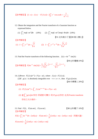$$
\left[\frac{2}{3}\frac{1}{3}\frac{1}{3}\frac{1}{3}f(-x) = f(x) + F[f(x)] = 2\int_0^\infty e^{-x} \cos \omega x dx = \frac{2}{\omega^2 + 1}
$$

- 12. Obtain the integration and the Fourier transform of a Gaussian function as expressed below.
	- (1)  $\int_{-\infty}^{\infty} \exp[-ax^2]dx$  (10%) (2)  $\int_{-\infty}^{\infty} \exp[-ax^2] \exp(-ikx)dx$  (10%) 【91 北科高分子】【89 高大應化】
- 【參考解答】 (1)  $I = \int_{0}^{\infty} e^{-ax^2} dx$  $=\int_{-\infty}^{\infty}e^{-ax^2}dx=\sqrt{\frac{\pi}{a}}$  (2) 2  $\int_{a}^{2} e^{-jkx} dx = \left[ \frac{\pi}{2} \right]_{a}^{a}$ *k*  $J = \int_{0}^{\infty} e^{-ax^2} e^{-jkx} dx = \sqrt{\frac{\mu}{2}} e^{-4a}$  $\infty$   $\overline{\pi}$   $\overline{z}$   $\overline{\pi}$   $\overline{z}$  $=\int_{-\infty}^{\infty}e^{-ax^2}e^{-jkx}dx=$
- 13. Find the Fourier transform of the following function.  $f(t) = 4e^{-3t^2} \sin(2t)$

【90台科電機10%】

*a*

$$
\left[\frac{2}{3} \frac{1}{3} \frac{1}{3} \frac{1}{3} F[4e^{-3t^2} \sin(2t)]\right] = \frac{2}{i} \left[\sqrt{\frac{\pi}{3}} e^{-\frac{1}{12}(\omega-2)^2} - \sqrt{\frac{\pi}{3}} e^{-\frac{1}{12}(\omega+2)^2}\right]
$$

*a*

\n- 14. (1) Prove 
$$
F[f(x)e^{ax}] = F(\omega - ai)
$$
, where  $f(\omega) = F[f(x)]$ .
\n- (2) If  $g(x)$  is absolutely integrable over  $-\infty < x < \infty$ , then  $F[g(x)]$  exist.
\n- **[86**  $\Box$   $\Box$   $20\%$  ]
\n

【參考解答】

(1)  $F[f(x) e^{ax}] = \int_{-\infty}^{\infty} f(x) e^{i(\omega - ai)x} dx = F(\omega - ai)$ 

(2) <sup>當</sup> *g x dx* ( ) <sup>∞</sup> ∫−∞ *Fgx* [ ( )] 存在,即絕對可積分,則 存在,此為 Fourier transform 存在之充分條件。

 $F[1] = \int_{-\infty}^{\infty} 1 \cdot e^{-i\omega t} dt = 2\pi \delta(\omega) \cdot F[\sin mt] = \frac{1}{2i} [2\pi \delta(\omega - m) - 2\pi \delta(\omega + m)]$ 15. Find *F*[1], *F*[sin *mt*], *F*[cos *mt*]. (88 台科電子 10%) 【參考解答】 *i*  $=\frac{1}{\sqrt{2\pi\delta(\omega-m)}}-2\pi\delta(\omega+m)]$ ,同理可證:  $F[\cos mt] = \frac{1}{2i} [2\pi \delta(\omega - m) + 2\pi \delta(\omega + m)]$ *i*  $=\frac{1}{\pi}\left[2\pi\delta(\omega-m)+2\pi\delta(\omega+m)\right]$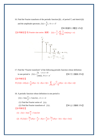16. Find the Fourier transform of the periodic function  $f(t)$ , of period *T*, and sketch  $f(t)$ and the amplitude spectrum.  $f(t) = \frac{3}{t}t$ ,  $0 < t < T$ *T*

【90 高雄科大電控 12%】

【參考解答】取 Fourier sine series 展開,  $f(t) = \frac{5}{2} + \sum_{k=1}^{\infty} \cos(n\omega_0)$  $f(t) = \frac{3}{2} + \sum_{n=1}^{\infty} \frac{3}{n\pi} \cos(n\omega_0 t + \pi)$  $\frac{1}{n\pi}$  cos( $n\omega_0 t + \pi$ π ∞  $=\frac{3}{2}+\sum_{n=1}^{\infty}\frac{3}{n\pi}\cos(n\omega_0 t +$ 

$$
C_n
$$
\n3\n0.95\n0.48\n0.24\n0.24\n0.2 $\omega_0$ \n $\omega_0$ \n $\frac{2\pi}{T}$ ,  $C_n = \frac{3}{n\pi}$ 

17. Find the "Fourier transform" of the following periodic function whose definition in one period is  $f(t) = \begin{cases} 0, & -\pi \le t < 0 \\ \sin(t), & 0 \le t < 0 \end{cases}$ *f t*  $(t)$ ,  $0 \leq t$ π  $= \begin{cases} 0, & -\pi \leq t < 0 \\ \sin(t), & 0 \leq t < \pi \end{cases}$  $\begin{cases} \sin(t), & 0 \leq t < \pi \end{cases}$  [90 交大機械 25%] 【參考解答】

$$
F[f(t)] = 2\delta(\omega) + \frac{\pi}{2i} [\delta(\omega - 1) - \delta(\omega + 1)] + \sum_{n=2,4,6}^{\infty} \frac{-2}{(n^2 - 1)} [\delta(\omega - n) + \delta(\omega + n)]
$$

18. A periodic function whose definition in one period is

$$
f(t) = 3\sin\frac{\pi}{2}t + 5\sin 3\pi t, -2 < t < 2
$$

(1) Find the Fourier series of  $f(t)$ .

(2) Find the Fourier transform of  $f(t)$ .  $\left[90 \div \text{+} \frac{1}{2} \cdot \text{+} \frac{1}{2} \cdot \text{+} \frac{1}{2} \cdot \text{+} \frac{1}{2} \cdot \text{+} \frac{1}{2} \cdot \text{+} \frac{1}{2} \cdot \text{+} \frac{1}{2} \cdot \text{+} \frac{1}{2} \cdot \text{+} \frac{1}{2} \cdot \text{+} \frac{1}{2} \cdot \text{+} \frac{1}{2} \cdot \text{+} \frac{1}{2} \cdot \text{$ 【參考解答】

(1) 
$$
f(t) = 3\sin\frac{\pi t}{2} + 5\sin 3\pi t
$$

(2) 
$$
F[f(t)] = \frac{3\pi}{i} [\delta(\omega - \frac{\pi}{2}) - \delta(\omega + \frac{\pi}{2})] + \frac{5\pi}{i} [\delta(\omega - 3\pi) - \delta(\omega + 3\pi)]
$$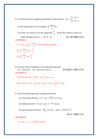19. (1) Find the Fourier integral representation of the function 1,  $|x| \le 1$  $f(x) = \begin{cases} 0, & |x| > 1 \\ 0, & |x| > 1 \end{cases}$ *x f x x*  $=\begin{cases} 1, & |x| \le \\ 0, & |x| \le \end{cases}$  $\left|0, \left| x \right| \right| >$ .

(2) By using result in (1) to evaluate  $\int_0^\infty \frac{\sin \omega}{\omega} d\omega$ ω  $\int_0^\infty \frac{\sin \omega}{\omega} d\omega$ .

(3) Verify your answer in (2) by integrating  $e^{iz}$ *z* around the contour as shown in following figure and let  $r \rightarrow 0$ ,  $R \rightarrow 0$ . 【91 逢甲電機 20%】 【參考解答】

(1) 
$$
f(x) = \frac{1}{2\pi} \int_{-\infty}^{\infty} \frac{\sin \omega}{\omega} e^{i\omega x} d\omega
$$
  $\stackrel{\text{(a)}}{\implies}$  Fourier integral.

$$
(2) \int_{-\infty}^{\infty} \frac{\sin \omega}{\omega} d\omega = \frac{\pi}{2}
$$

$$
(3) \int_0^\infty \frac{\sin x}{x} dx = \frac{\pi}{2}
$$

20. Find the Fourier transforms of the following functions:

(1)  $f(t) \cos \omega_0 t$  (2)  $f(t) \cos \omega_0 t \cos \omega_0 t$  [90高雄科大電控16%] 【參考解答】 (1)  $F[f(t)\cos\omega_0 t] = \frac{1}{2}F(\omega + \omega_0) + \frac{1}{2}F(\omega - \omega_0)$ 

(2) 
$$
F[f(t)\cos^2 \omega_0 t] = \frac{1}{2}F(\omega) + \frac{1}{4}F(\omega + 2\omega_0) + \frac{1}{4}F(\omega - 2\omega_0)
$$

21. Show the following Fourier transform theorems:

- (1) convolution theorem  $F\{f * g\} = \sqrt{2\pi}F\{f\}F\{g\}$
- (2) shifting theorem:  $F\{f(x-a)\} = e^{-j\omega a} F\{f(x)\}$

(3) autocorrelation theorem:  $F\left[\int_{-\infty}^{\infty} f(\tau) f(\tau - x) d\tau\right] = \sqrt{2\pi} |F\{f\}|^2$ 

【88清大電機12%】

【參考解答】

$$
(1) \ \hat{\Leftrightarrow} t = x - \tau = \sqrt{2\pi} F[f] \cdot F[g]
$$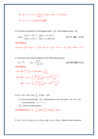$$
(2) \quad \hat{\bigoplus} \ t = x - a = e^{-j\omega a} \cdot \frac{1}{\sqrt{2\pi}} \int_{-\infty}^{\infty} f(t) \cdot e^{-j\omega t} \cdot dt = e^{-j\omega a} \cdot F[f(x)]
$$
\n
$$
(3) \quad \hat{\bigoplus} \ \tau - x = t = \sqrt{2\pi} \left| F[f]^2 \right| \left\{ \frac{1}{2} \right\} \left\{ \frac{1}{2} \right\}
$$

22. Find the convolution of a rectangular pulse  $f(t)$  and triangular pulse  $h(t)$ 

where 
$$
\begin{cases} f(t) = 1, |t| \le 1 \\ f(t) = 2, |t| > 1 \end{cases}
$$
  $\begin{cases} h(t) = t, 0 \le |t| \le 3 \\ h(t) = 0, \text{ otherwise} \end{cases}$   $\begin{bmatrix} 87 \text{ fK} \text{ mK} \\ 10 \text{ mK} \text{ mK} \end{bmatrix}$ 

# $f(t)*h(t) = \frac{1}{2}H(t+1)*(t+1)^2 - \frac{1}{2}H(t-1)*(t-1)^2 + \frac{1}{2}H(t-2)*(8-t^2-2t) - \frac{1}{2}H(t-4)*(8-t^2+2t)$

- 23. Determine the Fourier transform of the following functions.
	- (1)  $e^{-3|t|}$  (2)  $\frac{5e^{-3}}{1}$ 3 5  $4t + 13$  $e^{-3|t}$  $t^3 - 4t$ − − + 【<sup>90</sup> 雲科電機 10%】

【參考解答】

【參考解答】

(1)  $F[e^{-3|t|}] = \int_0^\infty e^{-3t} \cdot 2\cos \omega t dt = \frac{6}{9+\omega^2}$ (2) 當3-ω≥0,  $3t_{-2} - i\omega t$   $\zeta_a(i(3-\omega)(-2+3i))$  $\frac{5e^{3t} \cdot e^{-i\omega t}}{a^2 - 4t + 12} dt = 2\pi i \frac{5}{2}$  $4t+13$  6  $\frac{e^{i3t} \cdot e^{-i\omega t}}{i\omega t} dt = 2\pi i \frac{5e^{i(3-\omega)(-2+3i)}}{i\omega t}$  $t^2 - 4t + 13$  6*i*  $\omega t$   $\tau$   $115-\omega$  $\int_{-\infty}^{\infty} \frac{5e^{i3t} \cdot e^{-i\omega t}}{t^2 - 4t + 13} dt = 2\pi i \frac{5e^{i(3-\omega)(-2+\omega)}}{6i}$ 當3- $\omega$ < $0$ ,  $3t_{-2} - i\omega t$   $a^{i(3-\omega)(-2-3i)}$  $\frac{5e^{i3t} \cdot e^{-i\omega t}}{t^2 - 4t + 12} dt = -2$  $4t+13$  -6  $e^{i3t} \cdot e^{-i\omega t}$ <br>*i*  $i = -2\pi i \frac{e^{i(3-\omega)(-2-3i)}}{2\pi i}$  $t^2 - 4t + 13$   $-6i$  $\omega t$   $113-\omega$  $\int_{-\infty}^{\infty} \frac{5e^{i3t} \cdot e^{-i\omega t}}{t^2 - 4t + 13} dt = -2\pi i \frac{e^{i(3-\omega)(-2-\omega)}}{-6i}$ 

24. Let  $z(t) = x(t)^* y(t) = \int_{-\infty}^{\infty} x(\tau) y(t - \tau) d\tau$ ,

- (1) Prove the area under  $z(t)$  is the product of the area under  $x(t)$  and  $y(t)$ over the interval  $-\infty < t < \infty$ .
- (2) Given an interpretation.

 $\left[\frac{1}{2}$ 參考解答】取  $\omega = 0$ ,  $\int_{-\infty}^{\infty} z(t) dt = \int_{-\infty}^{\infty} x(t) dt \cdot \int_{-\infty}^{\infty} y(t) dt$ .

25. Let  $x(t) \leftrightarrow X(i\omega)$ ,  $y(t) \leftrightarrow Y(i\omega)$ , and  $z(t) \leftrightarrow Z(i\omega)$  denote Fourier transform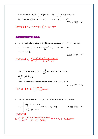pairs, related by  $Z(i\omega) = \int_{-\infty}^{\infty} z(t)e^{j\omega t} dt$ ,  $Z(t) = \frac{1}{2\pi} \int_{-\infty}^{\infty} z(j\omega)e^{j\omega t} d\omega$  $=\frac{1}{2\pi}\int_{-\infty}^{\infty}z(j\omega)e^{+j\omega t}d\omega$  if  $Z(j\omega) = x(j\omega)y(j\omega)$ , express  $z(t)$  in terms of  $x(t)$  and  $y(t)$ . 【89中山電機10%】

$$
\left[\frac{1}{2} \frac{1}{2} \frac{1}{2} \frac{1}{2} \frac{1}{2} \frac{1}{2} \frac{1}{2} \frac{1}{2} \frac{1}{2} \frac{1}{2} \frac{1}{2} \frac{1}{2} \frac{1}{2} \frac{1}{2} \frac{1}{2} \frac{1}{2} \frac{1}{2} \frac{1}{2} \frac{1}{2} \frac{1}{2} \frac{1}{2} \frac{1}{2} \frac{1}{2} \frac{1}{2} \frac{1}{2} \frac{1}{2} \frac{1}{2} \frac{1}{2} \frac{1}{2} \frac{1}{2} \frac{1}{2} \frac{1}{2} \frac{1}{2} \frac{1}{2} \frac{1}{2} \frac{1}{2} \frac{1}{2} \frac{1}{2} \frac{1}{2} \frac{1}{2} \frac{1}{2} \frac{1}{2} \frac{1}{2} \frac{1}{2} \frac{1}{2} \frac{1}{2} \frac{1}{2} \frac{1}{2} \frac{1}{2} \frac{1}{2} \frac{1}{2} \frac{1}{2} \frac{1}{2} \frac{1}{2} \frac{1}{2} \frac{1}{2} \frac{1}{2} \frac{1}{2} \frac{1}{2} \frac{1}{2} \frac{1}{2} \frac{1}{2} \frac{1}{2} \frac{1}{2} \frac{1}{2} \frac{1}{2} \frac{1}{2} \frac{1}{2} \frac{1}{2} \frac{1}{2} \frac{1}{2} \frac{1}{2} \frac{1}{2} \frac{1}{2} \frac{1}{2} \frac{1}{2} \frac{1}{2} \frac{1}{2} \frac{1}{2} \frac{1}{2} \frac{1}{2} \frac{1}{2} \frac{1}{2} \frac{1}{2} \frac{1}{2} \frac{1}{2} \frac{1}{2} \frac{1}{2} \frac{1}{2} \frac{1}{2} \frac{1}{2} \frac{1}{2} \frac{1}{2} \frac{1}{2} \frac{1}{2} \frac{1}{2} \frac{1}{2} \frac{1}{2} \frac{1}{2} \frac{1}{2} \frac{1}{2} \frac{1}{2} \frac{1}{2} \frac{1}{2} \frac{1}{2} \frac{1}{2} \frac{1}{2} \frac{1}{2} \frac
$$

#### ■ Fourier transform 解 O.D.E

1. Find the particular solution of the differential equation  $y'' + cy' + y = r(t)$ , with *c* > 0 and *r*(*t*) given as  $r(t) = \frac{t}{12} (\pi^2 - t^2)$  if  $-\pi < t < \pi$  and  $r(t + 2\pi) = r(t)$ .

【91成大土木20%】

【參考解答】  $1 \t1^{-1}$  $\int_1^2 n^3$   $(1-n^2)^2 + c^2n^2$  $(-1)^{n+1}$   $(1-n^2)\sin nt - nc \cos$  $(1 - n^2)$ *n p n*  $y_n = \sum_{n=3}^{\infty} \frac{(-1)^{n+1}}{n^2} \frac{(1-n^2)\sin nt - nc\cos nt}{(1-n^2)\cos nt}$  $n^3$   $(1-n^2)^2 + c^2n$ ∞  $(-1)^{n+}$  $=\sum_{n=1}^{\infty} \frac{(-1)^{n+1}}{n^3} \frac{(1-n^2)\sin nt - (1-n^2)^2 + (1-n^2)^2 + (1-n^2)^2}$ 

2. Find Fourier series solution of 
$$
\frac{d^2T}{dx^2} - T = -\delta(x - a), \quad 0 < x < 1,
$$

$$
\frac{dT(0)}{dx} = \frac{dT(1)}{dx} = 0
$$

where  $\delta$  is the Dirac delta function, *a* is a constant and  $0 < a < 1$ .

【90交大機械20%】

【參考解答】 $T = 1 + \sum_{n=1}^{\infty} \frac{2 \cos n}{n^2 \pi^2}$  $1+\sum_{n=2}^{\infty} \frac{2\cos ant}{n^2} \cos$  $\sum_{n=1}$   $n^2 \pi^2 + 1$  $T = 1 + \sum_{n=2}^{\infty} \frac{2\cos ant}{n^2} \cos n\pi x$  $\sqrt{n^2 \pi^2 + 1}$  cos  $n\pi$ π ∞ =  $= 1 + \sum_{n=1}^{\infty} \frac{2 \cos n}{n^2 \pi^2 + 1}$ 

3. Find the steady-state solution  $y(t)$  of  $y'' + 0.02y' + 25y = r(t)$ , where

$$
r(t) = \begin{cases} t + \frac{\pi}{2}, & \text{if } -\pi < t < 0 \\ -t + \frac{\pi}{2}, & \text{if } 0 < t < \pi \end{cases}
$$
, and 
$$
r(t + 2\pi) = r(t)
$$
. [91:10%]

【參考解答】 2  $\frac{2}{1,3,5}n^2$   $(25-n^2)^2 + (0.02n)^2$  $4 \sum_{n=1}^{\infty} 1 (25 - n^2) \cos nt + 0.02 n \sin$  $\int_{p}^{p}$   $\frac{1}{\pi} \sum_{n=1,3,5}^{n} n^2$   $(25-n^2)^2 + (0.02n)^2$  $y_n = \frac{4}{\sum_{n=1}^{\infty} \frac{1}{n^2} \frac{(25-n^2)\cos nt + 0.02n\sin nt}{(25-n^2)^2}$  $\pi n$ <sub>n=1.3.5</sub>  $n^2$   $(25-n^2)^2 + (0.02n)$ ∞  $=\frac{4}{\pi} \sum_{n=1,3,5}^{\infty} \frac{1}{n^2} \frac{(25-n^2)\cos nt + 0.02n\sin nt}{(25-n^2)^2 + (0.02n)^2}$  as  $t \to \infty$ ,  $y = y_p$  如上所示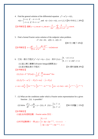- 4. Find the general solution of the differential equation  $y'' + \omega^2 y = r(t)$ ,  $r(t) = \begin{cases} t + \pi, & \text{if } -\pi < t < 0 \\ -t + \pi, & \text{if } 0 < t < \pi \end{cases}$  $t + \pi$ , if  $0 < t$  $\pi$ ,  $\pi$   $-\pi$  $=\begin{cases} t+\pi, & \text{if } -\pi < t < 0 \\ -t+\pi, & \text{if } 0 < t < \pi \end{cases}$  $\left\vert -t+\pi,\text{ if }\;0\!<\!t<\right.$  $\lt$ *r*(*t* + 2π) = *r*(*t*),  $ω ≠ 1, 2, 3$  【91 中央化工 20%】 【參考解答】通解 y = c<sub>1</sub> cos  $\omega t$  + c<sub>2</sub> sin  $\omega t$  +  $\frac{\lambda}{2\omega^2}$  +  $\sum_{n=1,3,5} \frac{1}{n^2 \pi} \frac{1}{\omega^2 - n^2}$  $\cos \omega t + c_2 \sin \omega t + \frac{\pi}{2} + \sum_{n=1}^{\infty} \frac{4}{n^2} - \frac{1}{2} \cos \omega t$  $2\omega^2$   $\frac{1}{n}$  $y = c_1 \cos \omega t + c_2 \sin \omega t + \frac{\pi}{2} + \sum_{n=1}^{\infty} \frac{1}{n^2} \frac{1}{n^2} \cos nt$  $n^2\pi \omega^2 - n$  $\omega t + c_2 \sin \omega t + \frac{\pi}{2}$  $\omega$   $\sqrt{u^2 + 4} \sin \pi \omega$ ∞  $= c_1 \cos \omega t + c_2 \sin \omega t + \frac{\pi}{2\omega^2} + \sum_{n=1,3,5} \frac{4}{n^2 \pi} \frac{1}{\omega^2 - n^2} \cos nt$ .
- 5. Find a formal Fourier series solution of the endpoint value problem.

 $x'' + 4x = 4t$ ;  $x(0) = 1$ ,  $x(1) = 0$ 

【89 交大電子 10%】

【參考解答】 1  $2\sum_{n=1}^{\infty}\frac{1}{4-n^2\pi^2}\left[\frac{4(-1)^{n+1}}{n\pi}-n\pi\right]\cdot\sin$ *n*  $x = 2\sum_{n=0}^{\infty} \frac{1}{n^2} \left[ \frac{f(1)}{n} - n\pi \right] \cdot \sin n\pi t$  $\sqrt{n^2 \pi^2}$   $\sqrt{n \pi}$  –  $n \pi$   $\sqrt{s}$  in  $n \pi$  $\pi$   $n\pi$  $\infty$  +  $\leq$   $\mathcal{A}(-1)^{n+1}$  $=2\sum_{n=1}^{\infty}\frac{1}{4-n^2\pi^2}\left[\frac{4(-1)^{n+1}}{n\pi}-n\pi\right]$ 

- 6. 已知一微分方程式  $y'' + 5y' + 6y = f(x)$ , 其中  $f(x) = \begin{cases} b, & -a \le x \le a \\ 0, & x < -a \text{ and } b \end{cases}$ *f x*  $=\begin{cases} b, & -a \leq x \leq a \\ 0, & x < -a \text{ and } x > a \end{cases}$  $\begin{cases} 0, & x < -a \text{ and } x > \end{cases}$ (1) 試以傅立葉積分(Fourier Integral)展開 *f*(*x*)。 (2) 試求解此微分方程式。 【91 雲科營建 20%】 【參考解答】 (1)  $f(x) = F^{-1}[F(w)] = \frac{1}{2\pi} \int_{-\infty}^{\infty} \frac{2b}{\omega} \sin \omega a \cdot e^{i\omega x} d\omega$  $= F^{-1}[F(w)] = \frac{1}{2\pi} \int_{-\infty}^{\infty} \frac{2b}{\omega} \sin \omega a$ (2)  $f[y''] = -\omega^2 \overline{y}$ ,  $F[y'] = i\omega \overline{y}$ ,  $\overline{y} = F[y]$ y =  $u(x+a){b \over 6} + {b \over 2}[2e^{-2(x+a)}] + {b \over 3}[e^{-3(x+a)} - 2e^{-3(3-a)}]\}- {b \over 6}u(x-a) + bu(x-a)\cdot [-{1 \over 2}e^{-2(x-a)} + {1 \over 3}e^{-3(x-a)}]$
- 7. (1) What are the conditions under which a Fourier series representation for a given function  $f(t)$  is possible?

 (2) Solve 2 <sup>2</sup> 2 ( ) *d y dy <sup>y</sup> f t dt dt* + += 2 2 3, 1 ( ) 0, 1 *t f t t* ⎧ , if <sup>⎪</sup> <sup>&</sup>lt; <sup>=</sup> <sup>⎨</sup> ⎪⎩ <sup>&</sup>gt; . 【<sup>90</sup> 中原醫工 15%】

#### 【參考解答】

(1)當 *f*(*t*)為週期函數,Fourier series 存在。

(2)利用留數積分,得 
$$
y(t) =\n \begin{cases}\n 0, \ t \le 1 \\
 3 - 3(t + 2)e^{-(t+1)}, \ -1 < t \le 1 \\
 -3(t + 2)e^{-(t-1)} + 3te^{-(t-1)}, \ 1 < t\n \end{cases}
$$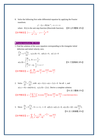8. Solve the following first order differential equation by applying the Fourier transform.

$$
y'-2y = H(t)e^{-2t}, -\infty < t < \infty
$$

where  $H(t)$  is the unit step function (Heaviside function). 【89 台科電機 10%】

\n
$$
\text{③} \times \text{②} \times \text{②} \times \text{⑤} \times \text{⑤} = -\frac{1}{\omega^2 + 4} \, \text{?} \, \text{⑤} = -\frac{1}{4} e^{-2|t|}
$$
\n

#### ■ Fourier transform 解 P.D.E.

1. Find the solution of the wave equation corresponding to the triangular initial defection and initial velocity zero.

$$
\frac{\partial^2 u}{\partial t^2} = c^2 \cdot \frac{\partial^2 u}{\partial x^2}, \quad u_t(x,0) = 0, \quad u(0,t) = 0, \quad u(\ell,t) = 0
$$
\n
$$
u(x,0) = \begin{cases}\n\frac{2k}{\ell}x, & 0 < x < \frac{1}{2}\ell \\
\frac{2k}{\ell}(\ell-x), & \frac{1}{2}\ell < x < \ell\n\end{cases}
$$
\n
$$
\text{[91 }\overrightarrow{7} \text{[1] } \text{[1] } \text{[1] } \text{[1] } \text{[1] } \text{[1] } \text{[1] } \text{[1] } \text{[1] } \text{[1] } \text{[1] } \text{[1] } \text{[1] } \text{[1] } \text{[1] } \text{[1] } \text{[1] } \text{[1] } \text{[1] } \text{[1] } \text{[1] } \text{[1] } \text{[1] } \text{[1] } \text{[1] } \text{[1] } \text{[1] } \text{[1] } \text{[1] } \text{[1] } \text{[1] } \text{[1] } \text{[1] } \text{[1] } \text{[1] } \text{[1] } \text{[1] } \text{[1] } \text{[1] } \text{[1] } \text{[1] } \text{[1] } \text{[1] } \text{[1] } \text{[1] } \text{[1] } \text{[1] } \text{[1] } \text{[1] } \text{[1] } \text{[1] } \text{[1] } \text{[1] } \text{[1] } \text{[1] } \text{[1] } \text{[1] } \text{[1] } \text{[1] } \text{[1] } \text{[1] } \text{[1] } \text{[1] } \text{[1] } \text{[1] } \text{[1] } \text{[1] } \text{[1] } \text{[1] } \text{[1] } \text{[1] } \text{[1] } \text{[1] } \text{[1] } \text{[1] } \text{[1] } \text{[1] } \text{[1] } \text{[1] } \text{[1] } \text{[1] } \text{[1] } \text{[1]
$$

2. Solve 2.  $2^2$  $\frac{u}{2} = \frac{\partial^2 u}{\partial x^2}$ , with  $u(x=0,t) = u(x=3,t) = 0$  $t^2$   $\partial x$ ∂  $\partial t^2$   $\partial$  $u(x = 0, t) = u(x = 3, t) = 0$  for all *t*, and  $u(x,t=0) = \sin(14\pi x)$ ,  $u_i(x,0) = f(x)$ . Derive a complete solution.

【91清大電機15%】

$$
\left[\frac{1}{2} \frac{1}{2} \frac{1}{2} \frac{1}{\sqrt{2}} \sum_{n=1}^{\infty} \frac{1}{n} \int_0^3 f(x) \sin \frac{n \pi x}{3} dx \sin \frac{n \pi t}{3} \sin \frac{n \pi x}{3} + \cos 14 \pi t \sin 14 \pi x \right]
$$

3. Slove  $\frac{u}{x} = 3 \frac{\partial^2 u}{\partial x^2}$ , 0 < x < L, t > 0 *t x*  $\frac{\partial u}{\partial t} = 3 \frac{\partial^2 u}{\partial x^2}$ , 0 < x <  $\partial t$   $\partial$  $u(0, t) = u(L, t) = 0, u(x, 0) = L[1 - \cos \frac{2\pi x}{t}]$ *L*  $= u(L,t) = 0$ ,  $u(x,0) = L[1-\cos\frac{2\pi x}{t}]$ . 【91清大微機電25%】

\n
$$
u = \sum_{n=1,3,5}^{\infty} \frac{L}{\pi} \cdot \frac{-16}{n(n^2 - 4)} e^{-3(\frac{n\pi}{L})^2 t} \cdot \sin \frac{n\pi x}{L}
$$
\n

π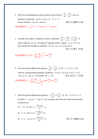4. Solve the nonhomogeneous heat equation shown below:  $\frac{\partial u}{\partial t} = \frac{\partial^2 u}{\partial x^2} + \sin(\pi x)$  $\frac{\partial u}{\partial t} = \frac{\partial^2 u}{\partial x^2} + \sin(\pi x)$ . Boundary conditions:  $u(0,t) = u(1,t) = 0$   $0 < t < \infty$ Initial condition:  $u(x,0) = \sin(2\pi x)$  [89 中正機械 15%]

**【参考解答】**  $u = \frac{1}{\pi^2} [1 - e^{-\pi^2 t}] \sin \pi x + e^{-4\pi^2 t} \cdot \sin 2\pi x$ 

5. Consider the Laplace's equation in polar coordinates  $\frac{v^2}{r^2} + \frac{1}{r} \frac{\partial u}{\partial r} + \frac{1}{r^2} \frac{\partial^2 u}{\partial \theta^2} = 0$ *u* 1 ∂*u* 1 ∂  $\partial r^2$  *r*  $\partial r$  *r*  $\frac{\partial^2 u}{\partial r^2} + \frac{1}{r} \frac{\partial u}{\partial r} + \frac{1}{r^2} \frac{\partial^2 u}{\partial \theta^2} = 0.$ Find a solution  $u(r, \theta)$  of Laplace's equation inside a region  $r \le a$ ,  $0 \le \theta \le a$ that satisfies the boundary conditions  $u(r, 0) = u(r, a) = 0, u(a, \theta) = k$ .

【91 交大電子 15%】

$$
\left[\frac{2\pi}{3} \frac{1}{2} \frac{\pi}{4} \frac{d\theta}{dt} \right] u(r,\theta) = \sum_{n=1,3,5}^{\infty} \frac{4k}{n\pi} \left(\frac{r}{a}\right)^{\frac{n\pi}{a}} \sin \frac{n\pi\theta}{\alpha}
$$

6. Solve the partial differential equation  $\frac{f^2 f}{(x^2)^2} + \frac{\partial^2 f}{\partial y^2} = 0$  (0 < x < a, 0 < y < b)  $\frac{\partial^2 f}{\partial x^2} + \frac{\partial^2 f}{\partial y^2} = 0$  (0 < x <  $\partial x^2$  ∂  $\langle y \langle b \rangle$ . With the corresponding boundary conditions  $f(x, 0) = f(x, b) = 0 \ (0 < x < a)$ *f* (0, y) = 0, *f* (*a*, y) = A constant  $(0 < y < b)$ . <br> 【91 台科化工 15%】

\n
$$
f = \sum_{n=1,3,5}^{\infty} \frac{4A}{n\pi} \frac{1}{\sin \frac{n\pi a}{b}} \sinh \frac{n\pi x}{b} \cdot \sin \frac{n\pi y}{b}
$$
\n

7. Solve the partial differential equations:  $C\frac{\partial^4 v}{\partial x^4} + E\frac{\partial^2 v}{\partial t^2} = 0$ , for  $t \ge 0$ ;  $0 \le x \le L$  $\frac{\partial^4 v}{\partial x^4} + E \frac{\partial^2 v}{\partial y^2} = 0$ , for  $t \ge$  $\partial x^4$   $\bar{c}$  $\leq$   $x \leq L$ . In which  $v = v(x, t)$ , C and E are constants, given that the initial and boundary conditions are

At 
$$
t = 0
$$
:  $v(x, 0) = v_0$ ,  $\frac{\partial v(x, 0)}{\partial t} = v_0$   
\nAt  $x = 0$ :  $v(0, t) = 0$ ,  $\frac{\partial^2 v(0, t)}{\partial x^2} = 0$   
\nAt  $x = L$ :  $v(L, t) = 0$ ,  $\frac{\partial^2 v(L, t)}{\partial x^2} = 0$  [91  $\overline{\otimes} \overline{\times} \text{H}_0^2$  25%]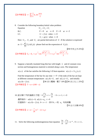$$
\left[\frac{1}{2} \frac{1}{2} \frac{1}{2} \frac{1}{2} \frac{1}{2} \frac{1}{2} \frac{1}{2} \frac{1}{2} \frac{1}{2} \frac{1}{2} \frac{1}{2} \frac{1}{2} \frac{1}{2} \frac{1}{2} \frac{1}{2} \frac{1}{2} \frac{1}{2} \frac{1}{2} \frac{1}{2} \frac{1}{2} \frac{1}{2} \frac{1}{2} \frac{1}{2} \frac{1}{2} \frac{1}{2} \frac{1}{2} \frac{1}{2} \frac{1}{2} \frac{1}{2} \frac{1}{2} \frac{1}{2} \frac{1}{2} \frac{1}{2} \frac{1}{2} \frac{1}{2} \frac{1}{2} \frac{1}{2} \frac{1}{2} \frac{1}{2} \frac{1}{2} \frac{1}{2} \frac{1}{2} \frac{1}{2} \frac{1}{2} \frac{1}{2} \frac{1}{2} \frac{1}{2} \frac{1}{2} \frac{1}{2} \frac{1}{2} \frac{1}{2} \frac{1}{2} \frac{1}{2} \frac{1}{2} \frac{1}{2} \frac{1}{2} \frac{1}{2} \frac{1}{2} \frac{1}{2} \frac{1}{2} \frac{1}{2} \frac{1}{2} \frac{1}{2} \frac{1}{2} \frac{1}{2} \frac{1}{2} \frac{1}{2} \frac{1}{2} \frac{1}{2} \frac{1}{2} \frac{1}{2} \frac{1}{2} \frac{1}{2} \frac{1}{2} \frac{1}{2} \frac{1}{2} \frac{1}{2} \frac{1}{2} \frac{1}{2} \frac{1}{2} \frac{1}{2} \frac{1}{2} \frac{1}{2} \frac{1}{2} \frac{1}{2} \frac{1}{2} \frac{1}{2} \frac{1}{2} \frac{1}{2} \frac{1}{2} \frac{1}{2} \frac{1}{2} \frac{1}{2} \frac{1}{2} \frac{1}{2} \frac{1}{2} \frac{1}{2} \frac{1}{2} \frac{1}{2} \frac{1}{2} \frac{1}{2} \frac{1}{2} \frac{1}{2} \frac{1}{2} \frac{1}{2} \frac{1}{2} \frac{1}{2} \frac{1}{2} \
$$

8. Consider the following boundary/initial value problem: Equation  $U_{xx} = U_{tt} + U_t$ B.C.  $U = 0$  at  $x = 0$   $U = 0$  at  $x = 2$ I.C.  $U = f(x)$  when  $t = 0$  $U_t = g(x)$  when  $t = 0$ 

Here  $U_x$ ,  $U_t$ , and  $U_n$  are partial derivatives of  $U$ . If the solution is expressed as  $U = \sum F_n(x)G_n(t)$  please find out the expression of  $G_n(t)$ . 1  $C_n(x) G_n(t)$ *n*  $U = \sum F_n(x)G$ ∞  $=\sum_{n=1} F_n(x)G_n(t)$  please find out the expression of  $G_n(t)$ 

$$
[90 + \text{#+x } 25\%]
$$

$$
\left[ \frac{2}{3} \frac{1}{\sqrt{3}} \frac{1}{\sqrt{3}} \frac{1}{\sqrt{3}} G_n - b_n - c_1 e^{-\frac{t}{2}} \cos \frac{\sqrt{n^2 \pi^2 - 1}}{2} t + c_2 e^{-\frac{t}{2}} \sin \frac{\sqrt{n^2 \pi^2 - 1}}{2} t \right]
$$

- 9. Suppose a laterally insulated long thin bar with length *L* and of constant cross section and homogeneous material is oriented along x-axis. The temperature
	- $u(x,t)$  of the bar satisfies the following 1-D heat equation:  $u(x,t) = c^2 u_{xx}(x,t)$

Find the temperature of the bar for any time  $t > 0$  if the ends of the bar are kept at different constant temperatures  $u(x, 0) = U_t$  and  $u(L,t) = U_2$  and initially  $u(x,0) = f(x)$ . <br>  $[90 \frac{1}{10} \times 1000 + 1000]$  [90 淡江化工 25% ]  $\sqrt{8}$ 考解答】 $T = \omega + (100 - x)$ 

10. 試求解下列的偏微分方程: 2  $k\frac{\partial^2 u}{\partial x^2} + r = \frac{\partial u}{\partial t}$  $x^2$   $\partial t$  $\frac{\partial^2 u}{\partial x^2} + r = \frac{\partial u}{\partial t}$ , 0 < x < 1, t > 0 邊界條件:  $u(0,t) = 0$ ,  $u(1,t) = u_0$ ,  $t > 0$ 初值條件: $u(x,0) = f(x)$ ,  $0 < x < 1$ ,其中 $k$ ,  $r$ 和  $u_0$  均為常數 【91台大生機10%】

$$
\left[\frac{1}{2} \frac{1}{2} \frac{1}{2} \frac{1}{2} \frac{1}{2} u = \omega - \frac{r}{2k} (x^2 - x) + u_0 x \right]
$$

11. Solve the following nonhomogeneous heat equation  $\frac{\partial u}{\partial t} - \frac{\partial^2 u}{\partial x^2} = e^{-ax}, \ 0 < x < L,$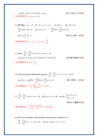$$
u(0,t) = u(L,t) = 0, \ u(x.0) = f(x)
$$
  
[91  $\forall$   $\forall$   $\forall$   $\forall$   $20\%$  ]  
[ $\#\#\mathbb{Z}$   $u = \omega(x,t) + v(x)$ 

12. 
$$
\frac{1}{2} \cdot \frac{1}{2} \cdot \frac{1}{2} \cdot \frac{1}{2} \cdot \frac{1}{2} \cdot \frac{1}{2} \cdot \frac{1}{2} \cdot \frac{1}{2} \cdot \frac{1}{2} \cdot \frac{1}{2} \cdot \frac{1}{2} \cdot \frac{1}{2} \cdot \frac{1}{2} \cdot \frac{1}{2} \cdot \frac{1}{2} \cdot \frac{1}{2} \cdot \frac{1}{2} \cdot \frac{1}{2} \cdot \frac{1}{2} \cdot \frac{1}{2} \cdot \frac{1}{2} \cdot \frac{1}{2} \cdot \frac{1}{2} \cdot \frac{1}{2} \cdot \frac{1}{2} \cdot \frac{1}{2} \cdot \frac{1}{2} \cdot \frac{1}{2} \cdot \frac{1}{2} \cdot \frac{1}{2} \cdot \frac{1}{2} \cdot \frac{1}{2} \cdot \frac{1}{2} \cdot \frac{1}{2} \cdot \frac{1}{2} \cdot \frac{1}{2} \cdot \frac{1}{2} \cdot \frac{1}{2} \cdot \frac{1}{2} \cdot \frac{1}{2} \cdot \frac{1}{2} \cdot \frac{1}{2} \cdot \frac{1}{2} \cdot \frac{1}{2} \cdot \frac{1}{2} \cdot \frac{1}{2} \cdot \frac{1}{2} \cdot \frac{1}{2} \cdot \frac{1}{2} \cdot \frac{1}{2} \cdot \frac{1}{2} \cdot \frac{1}{2} \cdot \frac{1}{2} \cdot \frac{1}{2} \cdot \frac{1}{2} \cdot \frac{1}{2} \cdot \frac{1}{2} \cdot \frac{1}{2} \cdot \frac{1}{2} \cdot \frac{1}{2} \cdot \frac{1}{2} \cdot \frac{1}{2} \cdot \frac{1}{2} \cdot \frac{1}{2} \cdot \frac{1}{2} \cdot \frac{1}{2} \cdot \frac{1}{2} \cdot \frac{1}{2} \cdot \frac{1}{2} \cdot \frac{1}{2} \cdot \frac{1}{2} \cdot \frac{1}{2} \cdot \frac{1}{2} \cdot \frac{1}{2} \cdot \frac{1}{2} \cdot \frac{1}{2} \cdot \frac{1}{2} \cdot \frac{1}{2} \cdot \frac{1}{2} \cdot \frac{1}{2} \cdot \frac{1}{2} \cdot \frac{1}{2} \cdot \frac{1}{2} \cdot \frac{1}{2} \
$$

13. Solve 
$$
\frac{\partial^2 u}{\partial x^2} + \frac{\partial^2 u}{\partial y^2} = 0, \ 0 < x < a, \ 0 < y < b.
$$
\n
$$
u_x(0, y) = 0, \ u_x(a, y) = 0, \ u(x, 0) = 0, \ u(x, b) = 1
$$
\n[90 雪科機被 25% ]\n\n[
$$
\frac{25}{3} \frac{25}{3} \frac{25}{3} \frac{25}{3} \frac{25}{3} \frac{25}{3} \frac{25}{3} \frac{25}{3} \frac{25}{3} \frac{25}{3} \frac{25}{3} \frac{25}{3} \frac{25}{3} \frac{25}{3} \frac{25}{3} \frac{25}{3} \frac{25}{3} \frac{25}{3} \frac{25}{3} \frac{25}{3} \frac{25}{3} \frac{25}{3} \frac{25}{3} \frac{25}{3} \frac{25}{3} \frac{25}{3} \frac{25}{3} \frac{25}{3} \frac{25}{3} \frac{25}{3} \frac{25}{3} \frac{25}{3} \frac{25}{3} \frac{25}{3} \frac{25}{3} \frac{25}{3} \frac{25}{3} \frac{25}{3} \frac{25}{3} \frac{25}{3} \frac{25}{3} \frac{25}{3} \frac{25}{3} \frac{25}{3} \frac{25}{3} \frac{25}{3} \frac{25}{3} \frac{25}{3} \frac{25}{3} \frac{25}{3} \frac{25}{3} \frac{25}{3} \frac{25}{3} \frac{25}{3} \frac{25}{3} \frac{25}{3} \frac{25}{3} \frac{25}{3} \frac{25}{3} \frac{25}{3} \frac{25}{3} \frac{25}{3} \frac{25}{3} \frac{25}{3} \frac{25}{3} \frac{25}{3} \frac{25}{3} \frac{25}{3} \frac{25}{3} \frac{25}{3} \frac{25}{3} \frac{25}{3} \frac{25}{3} \frac{25}{3} \frac{25}{3} \frac{25}{3} \frac{25}{3} \frac{2
$$

\n- 14. Slove the partial differential equation 
$$
\frac{\partial u}{\partial t} = \frac{\partial^2 u}{\partial x^2}
$$
,  $0 < x < \pi$ ,  $t > 0$ , I.C.
\n- $u(x, 0) = x$ , and B.C.  $\frac{\partial u}{\partial x}(0, t) = \frac{\partial u}{\partial x}(\pi, t) = 0$ .
\n- [91  $\Box$   $\Box$   $\Box$   $\Box$   $\Box$   $\Box$   $\Box$   $\Box$   $\Box$   $\Box$   $\Box$   $\Box$   $\Box$   $\Box$   $\Box$   $\Box$   $\Box$   $\Box$   $\Box$   $\Box$   $\Box$   $\Box$   $\Box$   $\Box$   $\Box$   $\Box$   $\Box$   $\Box$   $\Box$   $\Box$   $\Box$   $\Box$   $\Box$   $\Box$   $\Box$   $\Box$   $\Box$   $\Box$   $\Box$   $\Box$   $\Box$   $\Box$   $\Box$   $\Box$   $\Box$   $\Box$   $\Box$   $\Box$   $\Box$   $\Box$   $\Box$   $\Box$   $\Box$   $\Box$   $\Box$   $\Box$   $\Box$   $\Box$   $\Box$   $\Box$   $\Box$

15. 
$$
\frac{\partial^2 u}{\partial x^2} + \frac{\partial^2 u}{\partial y^2} = 0 \ \ (x > 0, y > 0), \ \ u(0, y) = 0, \ \ (y > 0), \ \ u(x, 0) = \begin{cases} 4, & 0 \leq x \leq 2 \\ 0, & x > 2 \end{cases}.
$$

【89淡江電機20%】

$$
\int \mathcal{L} \hat{\mathcal{L}} = \frac{8}{\pi} \int_0^\infty \frac{1 - \cos 2\omega}{\omega} e^{-\omega y} \cdot \sin \omega x d\omega
$$

16. Slove the boundary value problem using Fourier Transform in *x* .

$$
\frac{\partial u}{\partial t} = \frac{\partial^2 u}{\partial x^2} (-\infty < x < \infty, t > 0) \qquad u(x,0) = f(x), (-\infty < x < \infty)
$$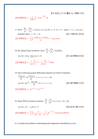【91 暨南土木 15%】【90 台大電機 7%】

$$
\int \mathcal{L} \hat{\mathcal{L}} \hat{\mathcal{L}} \hat{\mathcal{L}} \hat{f} \left( \hat{z} \right) \, du = \frac{1}{\sqrt{2\pi t}} \int_{-\infty}^{\infty} f(z) e^{-\frac{(z-x)^2}{4t}} dz
$$

17. Slove 
$$
\frac{\partial U}{\partial t} = \frac{\partial^2 U}{\partial^2 x}
$$
,  $U_x(0,t) = 0$ ,  $U(x,0) = x$  if  $0 < x < 1$  and if  $x > 1$ ,  $U(x,t)$  is  
bounded where  $x > 0$ ,  $t > 0$ .  
  

$$
\left[\frac{1}{2} \oint_C \frac{\partial \sin \omega - 1 + \cos \omega}{\omega^2} e^{-\omega^2 t} \cdot \cos \omega x \, d\omega \right]
$$

18. By using Fourier transform, slove  $\frac{\partial u}{\partial t} = \frac{\partial^2 u}{\partial t^2} + \delta(x)\delta(t)$ *t*  $\partial^2 x$  $\frac{\partial u}{\partial t} = \frac{\partial^2 u}{\partial^2 x} + \delta(x)\delta(t)$ ,

$$
u(x,0)=\delta(x), \ \lim_{x\to\pm\infty}u(x,t)=0.
$$

= = . 【91 海洋機械 20%】

【參考解答】  $\frac{1}{2\pi}\sqrt{\frac{\pi}{t}}e^{-\frac{x^2}{4t}} + \frac{1}{2\pi}\sqrt{\frac{\pi}{t}}e^{-\frac{x^2}{4t}}\bullet H(t)$  $u = \frac{1}{2} \left| \frac{h}{f} e^{-4t} + \frac{1}{2} \right| \left| \frac{h}{f} e^{-4t} \right| H(t)$  $t = 2\pi V t$  $\pi$  -  $\pi$  1  $\pi$  $\pi$  v t  $2\pi$  $=\frac{1}{2\pi}\sqrt{\frac{\pi}{e^{-4t}}}+\frac{1}{2\pi}\sqrt{\frac{\pi}{e^{-4t}}}$ 

19. Slove following partial differential equation by Fourier Transform.

$$
\frac{\partial^2 u(x,t)}{\partial t^2} = 9 \frac{\partial^2 u(x,t)}{\partial x^2}, \quad (-\infty < x < \infty, \ t > 0)
$$
\n
$$
u(x,0) = 4e^{-5|x|}, \quad \frac{\partial u(x,0)}{\partial t} = 0 \quad (-\infty < x < \infty) \quad \text{[90 \t\t\mathbb{F} = \t\mathbb{F} \t\t\mathbb{F} \t\t\mathbb{F} \t\t\mathbb{F} \t\t\mathbb{F} \t\t\mathbb{F} \t\t\mathbb{F} \t\t\mathbb{F} \t\t\mathbb{F} \t\t\mathbb{F} \t\t\mathbb{F} \t\t\mathbb{F} \t\t\mathbb{F} \t\t\mathbb{F} \t\t\mathbb{F} \t\t\mathbb{F} \t\t\mathbb{F} \t\t\mathbb{F} \t\t\mathbb{F} \t\t\mathbb{F} \t\t\mathbb{F} \t\t\mathbb{F} \t\t\mathbb{F} \t\t\mathbb{F} \t\t\mathbb{F} \t\t\mathbb{F} \t\t\mathbb{F} \t\t\mathbb{F} \t\t\mathbb{F} \t\t\mathbb{F} \t\t\mathbb{F} \t\t\mathbb{F} \t\t\mathbb{F} \t\t\mathbb{F} \t\t\mathbb{F} \t\t\mathbb{F} \t\t\mathbb{F} \t\t\mathbb{F} \t\t\mathbb{F} \t\t\mathbb{F} \t\t\mathbb{F} \t\t\mathbb{F} \t\t\mathbb{F} \t\t\mathbb{F} \t\t\mathbb{F} \t\t\mathbb{F} \t\t\mathbb{F} \t\t\mathbb{F} \t\t\mathbb{F} \t\t\mathbb{F} \t\t\mathbb{F} \t\t\mathbb{F} \t\t\mathbb{F} \t\t\mathbb{F} \t\t\mathbb{F} \t\t\mathbb{F} \t\t\mathbb{F} \t\t\mathbb{F} \t\t\mathbb{F} \t\t\mathbb{F} \t\t\mathbb{F} \t\t\mathbb{F} \t\t\mathbb{F} \t\t\mathbb{F} \t\t\mathbb{F} \t\t\mathbb{F} \t\t\mathbb{F} \t\t\mathbb{F} \t\t\mathbb{F} \t\t\
$$

【參考解答】  $u = 2e^{-5|x-3t|} + 2e^{-5|x+3t|}$ 

20. Slove PDE by Fourier transform  $\frac{\partial u}{\partial t} - \frac{\partial^2 u}{\partial x^2} + tu = 0 \quad (x > 0, t > 0)$ *t*  $\partial x$  $\frac{\partial u}{\partial t} - \frac{\partial^2 u}{\partial x^2} + tu = 0 \quad (x > 0, t > 0),$  $u(x,0) = xe^{-x}$ ,  $u(x,0,t) = 0$ *<sup>x</sup>* = 【90 海洋光電 15%】 【參考解答】  $_2$ ,  $1$ ,  $_2$  $\frac{2}{\pi}\int_0^{\infty} \left[\frac{2}{(\omega^2+1)^2}-\frac{1}{\omega^2+1}\right]e^{-\omega^2t-\frac{1}{2}t^2}\cdot\cos$  $(\omega^2+1)^2 \quad \omega^2+1$  $u = \frac{2}{\pi} \int_{0}^{\infty} \left[ \frac{2}{(1-x)^2} - \frac{1}{2} e^{-\omega^2 t - \frac{1}{2} t^2} \right] e^{-\omega^2 t}$  **c**os  $\omega x d \omega$ = $\frac{2}{\pi} \int_0^{\infty} \left[ \frac{2}{(\omega^2+1)^2} - \frac{1}{\omega^2+1} e^{-\omega^2 t - \frac{1}{2}t^2} \right] \cdot \cos \omega x d\omega$ 爲所求。

#### 21. Consider the problem of determining the temperature distribution in a bar

 $\pi^{0}$  ( $\omega$  + 1)  $\omega$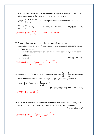extending from zero to infinity if the left end is kept at zero temperature and the initial temperature in the cross-section at *x* is  $f(x)$ , where

$$
f(x) = \begin{cases} \pi - x, & 0 \le x \le \pi \\ 0, & x \ge \pi \end{cases}
$$
. \nSlove the problem as the mathematical model is

\n
$$
\frac{\partial u}{\partial t} = a^2 \frac{\partial^2 u}{\partial x^2} \quad (x > 0, t > 0), \quad a \text{ is constant, } t \text{ is the time.} \qquad \text{[89, 4)}$\n[\text{$\frac{26}{10}$$\frac{2}{10}$$\frac{2}{10}$$\frac{2}{10}$$\frac{2}{10}$$\frac{2}{10}$$\frac{2}{10}$$\frac{2}{10}$$\frac{2}{10}$$\frac{2}{10}$$\frac{2}{10}$$\frac{2}{10}$$\frac{2}{10}$$\frac{2}{10}$$\frac{2}{10}$$\frac{2}{10}$$\frac{2}{10}$$\frac{2}{10}$$\frac{2}{10}$$\frac{2}{10}$$\frac{2}{10}$$\frac{2}{10}$$\frac{2}{10}$$\frac{2}{10}$$\frac{2}{10}$$\frac{2}{10}$$\frac{2}{10}$$\frac{2}{10}$$\frac{2}{10}$$\frac{2}{10}$$\frac{2}{10}$$\frac{2}{10}$$\frac{2}{10}$$\frac{2}{10}$$\frac{2}{10}$$\frac{2}{10}$$\frac{2}{10}$$\frac{2}{10}$$\frac{2}{10}$$\frac{2}{10}$$\frac{2}{10}$$\frac{2}{10}$$\frac{2}{10}$$\frac{2}{10}$$\frac{2}{10}$$\frac{2}{10}$$\frac{2}{10}$$\frac{2}{10}$$\frac{2}{10}$$\frac{2}{10}$$\frac{2}{10}$$\frac{2}{10}$$\frac{2}{10}$$\frac{2}{10}$$\frac{2}{10}$$\frac{2}{10}$$\frac{2}{10}$$\frac{2}{10}$$\frac{2}{10}$$\frac{2}{10}$$\frac{2}{10}$$\frac{2}{10}$$\frac{2}{10}$$\frac{2}{10}$$\frac{2}{10}$$\frac{2}{10}$$\frac{2}{10}$$\frac{2}{10}$$\frac{2}{10}$$\frac{2}{10}$$\frac{2}{10}$$\frac{2}{10}$$\frac{2}{10}$$\frac{2}{10}$$\frac{2}{10}$$\frac{2}{
$$

- 22. A semi-infinite thin bar  $x \ge 0$  whose surface is insulated has an initial temperature equal to  $f(x)$ . A temperature of zero is suddenly applied to the end  $x = 0$  and maintained.
	- (1) Set up the boundary-value problem for the temperature  $u(x,t)$  at any point *x* at time *t*

$$
(2) \text{ Slove } (1).
$$

(2) Slove (1). 【90 中興土木 20%】

【參考解答】  $(z-x)^2$   $(z+x)^2$  $4at - 2$  4  $\frac{1}{2\pi}\int_0^{\infty} f(z) \frac{1}{\sqrt{\alpha t}} \left[e^{-\frac{(z-x)^2}{4\alpha t}} - e^{-\frac{(z+x)^2}{4\alpha t}}\right]$  $u = \frac{1}{2} \int_{a}^{b} f(z) \frac{1}{\sqrt{2}} [e^{-4at} - e^{-4at}] dz$ <sub>*=*</sub>[*e* <sup>4αt</sup> −*e* <sup>4α</sup><br>t  $\pi^{30}$   $\sqrt{\alpha}$ ∞  $-\frac{(z-x)^2}{4} - \frac{(z+x)^2}{4}$  $=\frac{1}{2\pi}\int_{0}^{\infty}f(z)\frac{1}{\sqrt{\alpha t}}[e^{-4\alpha t}$  –

23. Please solve the following partial differential equation 2 2 *y*  $\partial^2 y$  $\frac{c}{t} = \alpha \frac{d}{dx}$  $\frac{\partial y}{\partial t} = \alpha \frac{\partial^2 y}{\partial x^2}$  subject to the initial and boundary conditions  $y(x, 0) = y_0$ ,  $y(0, t) = 0$  and  $y(\infty, t) = y_0$ .

(Note: 
$$
\int_0^\infty e^{-a\lambda^2 t} \cos \lambda x d\lambda = \frac{1}{2} \left( \frac{\pi}{at} \right)^{1/2} e^{-x^2/4at} \big)
$$
\n[91 漡大動機 10% 10% 190 原大環工 20% ]

$$
[
$$
 **d 2 2 3 3 3 4 4 5 4 5 6 2 4 2 3 4 5 2 4 5 3 6 4 2 3 4 5 6 4 6 3 4 5 6 6 6 3 4 5 6 6 3 4 5 6 6 6 3 6 4 6 3 6 4 5 6 6 3 7 6 3 8 4 9 9 10 9 10 10 9 10 10 10 10 10 10 10 10 10 10 10 10 10 10 10 10 10 10 10 10 10 10 10 10 10 10 10 10 10 10 10 10**

24. Solve the partial differential equation by Fourier sin transformation.  $u - u_{xx} = 0$ for  $0 < x < \infty$ ,  $t > 0$ ,  $u(0,t) = g(t)$ ,  $u(x,0) = 0$ , and  $u(x,t)$  is bounded. 【89台科機械20%】

$$
\left[\frac{1}{2}\frac{1}{\sqrt{2\pi}}\right]u=\frac{x}{2\sqrt{\pi}}\int_0^t g(\tau)\cdot\frac{1}{(t-\tau)^{3/2}}e^{-\frac{x^2}{4(t-\tau)}}\cdot d\tau
$$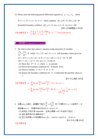25. Please solve the following partial differential equation as  $u_t = u_{xx} + u_{yy}$  where

 $0 \leq t < \infty$ ,  $0 \leq x \leq \pi$ ,  $0 \leq y \leq \infty$  initial condition  $u(x, y, 0) = 0$ ,  $|u(x, y, t)| < M$ 

(bounded) boundary condition  $u(0, y, t) = 0$ ,  $u(\pi, y, t) = 0$ ,  $u(x, 0, t) = 100$ . 【89 北科機電整合 20%】

$$
\left[\frac{1}{2} \frac{1}{2} \frac{1}{2} \frac{1}{n^2} \sum_{n=1}^{\infty} \int_0^{\infty} \frac{1 - (-1)^n}{n^2 + \omega^2} \frac{100 \omega}{n} [1 - e^{-(n^2 + w^2)}] \sin \omega y d\omega \sin nx
$$

#### 分離變數法(separation of variable)

- 1. We wish to slove the Laplace's equation using separation of variables  $\frac{d^2u}{dx^2} + \frac{\partial^2u}{\partial y^2} = 0$  $\frac{\partial^2 u}{\partial x^2} + \frac{\partial^2 u}{\partial y^2} =$  $\partial x^2$  ∂ within  $0 \le x \le b$  and  $0 \le y \le a$  with boundary values given by  $u(x = 0, 0 \le y \le a) = u(x = b, 0 \le y \le a) = u(0 \le x \le b, y = 0) = 0$  and  $u(0 \le x \le b, y = a) = 1$ . Let  $u(x, y) = X(x)Y(y)$ . (1) Show that  $X''/X = \lambda$ , where  $\lambda$  is constant.
	- (2) Derive the boundary conditions for  $X(0)$  and  $X(b)$ .
	- (3) Discuss whether  $\lambda > 0$ ,  $\lambda = 0$  or  $\lambda < 0$ .
	- (4) Impose the boundary conditions for *X* to determine the possible values of λ

【91 中山通訊 20%】

$$
\left[\frac{1}{2} \frac{1}{2} \frac{1}{2} \frac{1}{2} \frac{1}{2} \frac{1}{2} \frac{1}{2} \frac{1}{2} \frac{1}{2} \frac{1}{2} \frac{1}{2} \frac{1}{2} \frac{1}{2} \frac{1}{2} \frac{1}{2} \frac{1}{2} \frac{1}{2} \frac{1}{2} \frac{1}{2} \frac{1}{2} \frac{1}{2} \frac{1}{2} \frac{1}{2} \frac{1}{2} \frac{1}{2} \frac{1}{2} \frac{1}{2} \frac{1}{2} \frac{1}{2} \frac{1}{2} \frac{1}{2} \frac{1}{2} \frac{1}{2} \frac{1}{2} \frac{1}{2} \frac{1}{2} \frac{1}{2} \frac{1}{2} \frac{1}{2} \frac{1}{2} \frac{1}{2} \frac{1}{2} \frac{1}{2} \frac{1}{2} \frac{1}{2} \frac{1}{2} \frac{1}{2} \frac{1}{2} \frac{1}{2} \frac{1}{2} \frac{1}{2} \frac{1}{2} \frac{1}{2} \frac{1}{2} \frac{1}{2} \frac{1}{2} \frac{1}{2} \frac{1}{2} \frac{1}{2} \frac{1}{2} \frac{1}{2} \frac{1}{2} \frac{1}{2} \frac{1}{2} \frac{1}{2} \frac{1}{2} \frac{1}{2} \frac{1}{2} \frac{1}{2} \frac{1}{2} \frac{1}{2} \frac{1}{2} \frac{1}{2} \frac{1}{2} \frac{1}{2} \frac{1}{2} \frac{1}{2} \frac{1}{2} \frac{1}{2} \frac{1}{2} \frac{1}{2} \frac{1}{2} \frac{1}{2} \frac{1}{2} \frac{1}{2} \frac{1}{2} \frac{1}{2} \frac{1}{2} \frac{1}{2} \frac{1}{2} \frac{1}{2} \frac{1}{2} \frac{1}{2} \frac{1}{2} \frac{1}{2} \frac{1}{2} \frac{1}{2} \frac{1}{2} \frac{1}{2} \frac{1}{2} \frac{1}{2} \frac{1}{2} \frac{1}{2} \frac{1}{2} \frac{1}{2} \frac{1}{2} \frac{1}{2} \frac{1}{2} \frac
$$

2. 函數 u(x,t) 滿足一維擴散方程式  $\frac{\partial u}{\partial t} = 4 \frac{\partial^2 u}{\partial x^2}$  依下步驟在0<*x*<4區間內,求 解函數 $u(x,t)$ , 其邊界條件爲 $u(0,t) = u(4,t) = 0$ 。 (1) 說明此方程式是 separable。並寫出變數 x 和 t 的個別方程式

(2) 滿足邊界條件的通解為何?

(3) 若已知時間 t=0 時函數爲  $u(x, 0) = -\sin(\pi t) + \sin(2\pi x)$ , 求 $u(x, t)$ 。

【91中央光電20%】

【參考解答】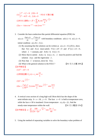$$
(1) \begin{cases} f'' - \lambda f = 0, & f(0) = 0 \\ T' - 4\lambda T = 0, & f(4) = 0 \end{cases}
$$
, P.D.E  $\overline{\text{H}} \overset{\text{def}}{=} \overset{\text{def}}{=} \overset{\text{def}}{=} \frac{1}{2}$   

$$
(2) \text{P.D.E. } \overset{\text{def}}{=} \overset{\text{def}}{=} u = fT = \sum_{n=1}^{\infty} B_n \sin \frac{n\pi x}{4} e^{-(\frac{n\pi}{2})^2 t}
$$
  

$$
(3) u = -1 \sin \pi x e^{-4\pi^2 t} + \sin 2\pi x e^{-16\pi^2 t}
$$

3. Consider the heat-conduction-like partial differential equation (PDE) for

2  $u(x,t): \frac{\partial u(x,t)}{\partial t} = t \frac{\partial^2 u(x,t)}{\partial x^2}$  $\frac{\partial u(x,t)}{\partial t} = t \frac{\partial^2 u(x,t)}{\partial x^2}$  with boundary conditions  $u(0,t) = 0$ ,  $u(L,t) = 0$ , initial condition  $u(x,0) = f(x)$ .

- (1) By assuming that the solution can be written as  $u(x,t) = X(x)T(t)$ , show that  $T(t)$  and  $X(x)$  must satisfy  $T'(t) + \lambda tT = 0$  and  $X''(x) + \lambda X = 0$ , where  $\lambda$  = constant, and  $X(0) = 0$ ,  $X(L) = 0$ .
- (2) Show that to satisfy  $X(0) = 0$ ,  $X(L) = 0$ ,  $\lambda$  must be positive and find the solution  $X(t)$  and the eigenvalue  $\lambda$ .
- (3) Now that  $\lambda$  is known, slove for  $T(t)$ .
- (4) What is the general solution to the P.D.E ?  $[91 \ \text{\&} \times \text{\&} \times \text{\&} \text{\&} 30\%$

【參考解答】

 $(1)T' - \lambda tT = 0$ 

(2)特徴sm数 
$$
X_n(x) = c_n \sin \frac{n\pi}{L} x
$$

$$
(3) T = ke^{-\frac{1}{2}(\frac{n\pi}{L})^2 t^2}
$$
  

$$
(4) u = \frac{2}{L} \sum_{n=1}^{\infty} \int_0^L f(x) \sin \frac{n\pi x}{L} dx e^{-\frac{1}{2}(\frac{n\pi}{L})^2 t^2} \cdot \sin \frac{n\pi x}{L}
$$

4. A vertical cross section of a long high wall 30cm thick has the shape of the semi-infinite strip  $0 < x < 30$ ,  $y < 0$ . The face  $x = 0$  is held at temperature zero, while the face x=30 is insulated. Given temperature  $r(x, 0) = 25$ , find the steady-state temperature within the wall. <br> **[91** 交大電信 15% 】

\n
$$
u = \sum_{n=1}^{\infty} \frac{100}{(2n-1)\pi} e^{-\frac{2n-1}{60}\pi y} \cdot \sin \frac{2n-1}{60} \pi x
$$
\n

5. Using the method of separating variables to solve the boundary-value problem of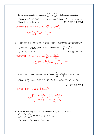the one dimensional wave equation  $^{2}u$   $_{2}$   $^{2}$   $\partial^{2}$ 2  $\sim$  2  $^{2}$  $\frac{u}{2} = c^2 \frac{\partial^2 u}{\partial x^2}$  $\frac{\partial^2 u}{\partial t^2} = c^2 \frac{\partial^2 u}{\partial x^2}$  with boundary conditions  $u(0,t) = 0$  and  $u(L,t) = 0$  for all t, where  $u(x,t)$  is the deflection of string and L is the length of the string.  $\blacksquare$  1 台師大光電 20% 】  $\sum_{m}^{\infty} c n \pi$   $\sum_{m}$ 

$$
\left[\frac{1}{2} \frac{\partial \mathcal{F}}{\partial x} \frac{\partial \mathcal{F}}{\partial y} \frac{\partial \mathcal{F}}{\partial y} \frac{\partial \mathcal{F}}{\partial x} \frac{\partial \mathcal{F}}{\partial y} \frac{\partial \mathcal{F}}{\partial y} \frac{\partial \mathcal{F}}{\partial y} \frac{\partial \mathcal{F}}{\partial y} \frac{\partial \mathcal{F}}{\partial y} \frac{\partial \mathcal{F}}{\partial y} \frac{\partial \mathcal{F}}{\partial y} \frac{\partial \mathcal{F}}{\partial y} \frac{\partial \mathcal{F}}{\partial y} \frac{\partial \mathcal{F}}{\partial y} \frac{\partial \mathcal{F}}{\partial y} \frac{\partial \mathcal{F}}{\partial y} \frac{\partial \mathcal{F}}{\partial y} \frac{\partial \mathcal{F}}{\partial y} \frac{\partial \mathcal{F}}{\partial y} \frac{\partial \mathcal{F}}{\partial y} \frac{\partial \mathcal{F}}{\partial y} \frac{\partial \mathcal{F}}{\partial y} \frac{\partial \mathcal{F}}{\partial y} \frac{\partial \mathcal{F}}{\partial y} \frac{\partial \mathcal{F}}{\partial y} \frac{\partial \mathcal{F}}{\partial y} \frac{\partial \mathcal{F}}{\partial y} \frac{\partial \mathcal{F}}{\partial y} \frac{\partial \mathcal{F}}{\partial y} \frac{\partial \mathcal{F}}{\partial y} \frac{\partial \mathcal{F}}{\partial y} \frac{\partial \mathcal{F}}{\partial y} \frac{\partial \mathcal{F}}{\partial y} \frac{\partial \mathcal{F}}{\partial y} \frac{\partial \mathcal{F}}{\partial y} \frac{\partial \mathcal{F}}{\partial y} \frac{\partial \mathcal{F}}{\partial y} \frac{\partial \mathcal{F}}{\partial y} \frac{\partial \mathcal{F}}{\partial y} \frac{\partial \mathcal{F}}{\partial y} \frac{\partial \mathcal{F}}{\partial y} \frac{\partial \mathcal{F}}{\partial y} \frac{\partial \mathcal{F}}{\partial y} \frac{\partial \mathcal{F}}{\partial y} \frac{\partial \mathcal{F}}{\partial y} \frac{\partial \mathcal{F}}{\partial y} \frac{\partial \mathcal{F}}{\partial y} \frac{\partial \mathcal{F}}{\partial y} \frac{\partial \mathcal{F}}{\partial y} \frac{\partial \mathcal{F}}{\partial y} \frac{\partial \mathcal{F}}{\partial y} \frac{\partial \mathcal{F}}{\partial y} \frac{\partial \mathcal{F}}{\partial y} \frac{\partial \mathcal{F
$$

6. 一細長桿長度l,,表面絕熱,初始溫度 100℃,設左端亦絕緣右端保持恆溫  $u(\ell,t) = 0^{\circ}$  $\mathbb{C}$  , 求溫度 $u(x,t)$  ∘ Hint: heat equation  $_2$   $\partial^2$ 2  $a^2 \frac{\partial^2 u}{\partial x^2} = \frac{\partial u}{\partial x}$  $\frac{\partial^2 u}{\partial x^2} = \frac{\partial u}{\partial t}$ ,  $u(0,t) = 0, u(\ell,t) = 0$  **(b)**  $\Box$  1 **f**  $\Box$  1 **f**  $\Box$  1 **f**  $\Box$  1 **f**  $\Box$  1 **f**  $\Box$  1 **f**  $\Box$  1 **f**  $\Box$  1 **f**  $\Box$  1 **f**  $\Box$  1 **f**  $\Box$  1 **f**  $\Box$  1 **f**  $\Box$  1 **f**  $\Box$  1 **f**  $\Box$  1 **f**  $\Box$  1 **f**  $\Box$  1 **f**  $\Box$  1 【參考解答】代入  $f(x, 0) = 100 = \sum_{n=1}^{\infty} A_n \cdot \cos \frac{2n-1}{2\ell}$  $u = (x, 0) = 100 = \sum_{n=0}^{\infty} A_n \cdot \cos \frac{2n-1}{n} \pi x$  $=(x, 0) = 100 = \sum_{n=1}^{\infty} A_n \cdot \cos \frac{2n-1}{2\ell}$  $A_n = \frac{2}{\ell} \int_0^{\ell} 100 \cdot \cos \frac{2n-1}{2\ell} \pi x dx = \frac{400}{(2n-1)\pi} (-1)^{n+1}$  $A_n = \frac{2}{a} \int_0^b 100 \cdot \cos \frac{2n-1}{2a} \pi x dx$  $-\pi$ *xdx* =  $\frac{1}{2n}$  $=\frac{2}{\ell}\int_0^{\ell}100\cdot\cos\frac{2n-1}{2\ell}\pi x dx=\frac{400}{(2n-1)\pi}(-1)^{n+1}$ 

7. A boundary value problem is shown as follow:  $\frac{\partial u}{\partial t} = a^2 \frac{\partial^2 u}{\partial x^2}$  (0 < *x* < *L*, *t* > 0)  $\frac{\partial u}{\partial t} = a^2 \frac{\partial^2 u}{\partial x^2}$  (0 < x < L, t >  $\partial t$   $\ddot{o}$  $u(0, t) = 0, \frac{\partial u}{\partial t}(L, t) = -Au(L, t)$   $(t \ge 0)$   $(A > 0)$ *x*  $= 0, \frac{\partial u}{\partial x}(L, t) = -Au(L, t) \quad (t \ge 0) \quad (A > 0), \quad u(x, 0) = f(x) \quad (0 < x < L).$ 

【90 台科電子 15%】

【參考解答】取 1  $0, f(x) = \sum B_n \sin \frac{\alpha_n}{I}$  $t = 0$ ,  $f(x) = \sum_{n=1}^{\infty} B_n \sin \frac{\alpha_n}{L} x$  $\frac{\infty}{\sqrt{2}}$   $\alpha$  $= 0, f(x) = \sum_{n=1}^{\infty}$  $B_n = \frac{J_0}{I_0} = \frac{J_0}{I_0} = \frac{J_0}{I_0}$ 2  $\overline{0}$  $\int (x) \sin \frac{\alpha_n x}{x} dx$   $\int f(x) \sin \alpha$  $\sin^2 \frac{\mu_n x}{1} dx$   $\frac{E}{2} - \frac{E}{1} \sin 2$ 2 4  $L_{f(x) \sin} a_n x dx$   $\int_0^L f(x) \sin a_n x dx$  $B_n = \frac{\int_0^L f(x) \sin \frac{\alpha_n x}{L} dx}{\int_0^L \sin^2 \frac{\alpha_n x}{L} dx} = \frac{\int_0^L f(x) \sin \frac{\alpha_n x}{L} dx}{\frac{L}{2} - \frac{L}{4\pi r} \sin 2\alpha_n}$ *n L*  $\alpha x$   $\alpha$  $\frac{\alpha_n x}{\alpha} dx$   $\frac{L}{\alpha} - \frac{L}{\alpha} \sin 2\alpha$ α  $=\frac{30}{1}$   $=\frac{L}{1}$ −  $\int_0^L f(x) \sin \frac{a_n x}{L} dx$ ∫

8. Solve the following problem by the method of separation variables:  $\frac{d^2u}{dx^2} + \frac{\partial^2u}{\partial x^2} = \frac{\partial^2u}{\partial x^2}$ ,  $0 \le x \le a$ ,  $0 \le y \le b$ ,  $t \ge 0$  $x^2$   $\partial y^2$   $\partial t$  $\frac{\partial^2 u}{\partial x^2} + \frac{\partial^2 u}{\partial y^2} = \frac{\partial^2 u}{\partial t^2}$ ,  $0 \le x \le a$ ,  $0 \le y \le b$ ,  $t \ge 0$ ,  $u(0, y, t) = 0$ ,  $u(a, y, t) = 0$ ,  $u(x, 0, t) = 0$ ,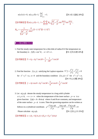$$
u(x, b, t) = 0, \ u(x, y, 0) = 1, \ \frac{\partial u}{\partial t}\Big|_{t=0} = 1.
$$
 [91  $\#\pi$   $\frac{\partial u}{\partial t}$   $\frac{20\%}{\partial t}$ ]  
\n
$$
\frac{\partial u}{\partial t} = 1.
$$
 [91  $\#\pi$   $\frac{\partial u}{\partial t}$   $\frac{20\%}{\partial t}$  ]  
\n
$$
B_{mn} = \frac{1}{\sqrt{\frac{m^2}{a^2} + \frac{n^2}{b^2}}} \frac{4}{mn\pi^2} [1 - (-1)^m][1 - (-1)^n]
$$

#### 以極座標解 P.D.E.

1. Find the steady state temperature for a thin disk of radius R if the temperature on the boundary is  $f(\theta) = \cos^2 \theta$ ,  $-\pi < \theta < \pi$ . 【91 北科冷凍 20%】

【參考解答】  $T = A_0 + A_2 r^2 \cos 2\theta = \frac{1}{2} + \frac{1}{2R^2} r^2 \cos 2\theta$  $2^{\degree}$  2  $T = A_0 + A_2 r^2 \cos 2\theta = \frac{1}{2} + \frac{1}{2} r^2$ *R*  $= A_0 + A_2 r^2 \cos 2\theta = \frac{1}{2} + \frac{1}{2} r^2 \cos 2\theta$ 

2. Find the function  $f(x, y)$  satisfying the Laplace equation  $f^2 f = \frac{\partial^2 f}{\partial^2 x} + \frac{\partial^2 f}{\partial^2 y} = 0$  $\nabla^2 f = \frac{\partial^2 f}{\partial^2} + \frac{\partial^2 f}{\partial^2} =$  $\partial^2 x$   $\partial$ for  $x^2 + y^2 = a$ ,  $a > 0$  and the boundary condition  $f(x, y) = x^3$  for  $x^2 + y^2 = a$ . 【91 中山光電 20%】

**【参考解答】**  $f = A_1 r \cos \theta + A_3 r^3 \cos 3\theta = \frac{3}{4} ar \cos \theta + \frac{1}{4} r^3 \cos 3\theta$ 

3. Let  $u(p,\phi)$  denote the steady temperature in a long solid cylinder  $a \le \rho \le b$ ,  $-\infty < z < \infty$  when the temperature of the inner surface  $\rho = a$  is a given function  $f(\phi) = A + B \sin \phi$  where *A* and *B* are constants; and temperature of the outer surface  $\rho = b$  is zero. Then the governing equation can be written as follows in a cylindrical coordinate.  $2 \partial^2 u(\rho, \phi)$   $\partial u(\rho, \phi)$   $\partial^2$  $\rho^2 \frac{\partial^2 u(\rho,\phi)}{\partial^2 \rho} + \rho \frac{\partial u(\rho,\phi)}{\partial \rho} + \frac{\partial^2 u(\rho,\phi)}{\partial^2 \phi} = 0$  $\rho$   $\partial \rho$   $\partial^2 \phi$  $\frac{\partial^2 u(\rho,\phi)}{\partial \rho^2} + \rho \frac{\partial u(\rho,\phi)}{\partial \rho} + \frac{\partial^2 u(\rho,\phi)}{\partial \rho^2} =$  $\partial^2 \rho$   $\partial \rho$   $\partial$ Please calculate  $u(\rho,\phi)$ . <br> **[91** 北科土木 25% 】

 $\left[$  参考解答  $\right]$   $u = (A_0 + B_0 \ln \rho) + (E_1 \rho + F_1 \rho^{-1}) \sin \phi$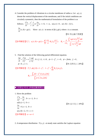4. Consider the problem of vibrations in a circular membrane of radius a. Let  $u(r,t)$ denote the vertical displacement of the membrane, and if the initial conditions are circularly symmetric, then the mathematical formulation of the problem is as

follows; 
$$
\frac{\partial^2 u}{\partial t^2} = \frac{c^2}{r} \frac{\partial}{\partial r} (r \frac{\partial u}{\partial r}), t > 0, r < a, u(a, t) = 0, u(r, 0) = f(r),
$$
  
 $\frac{\partial u}{\partial t} (r, 0) = g(r).$  Solve  $u(r, t)$  in terms of  $f(r), g(r)$ , where c is a constant.

【91 中山海下技術】

$$
\left[\frac{1}{2} \frac{\partial^2 f}{\partial x^2} + \frac{\partial^2 f}{\partial y^2} \right] \left( \frac{\partial^2 f}{\partial x^2} + \frac{\partial^2 f}{\partial y^2} \right) = g(r) = \sum_{n=1}^{\infty} \frac{c \alpha_n}{a} B_n J_0(\frac{\alpha_n r}{a})
$$
\n
$$
B_n = \frac{a}{c \alpha_n} \frac{\int_0^a r g(r) J_0(\frac{a_n r}{a}) dr}{\int_0^a r J_0^2(\frac{a_n r}{a}) dr}
$$

5. Find the solution of the following partial differential equation.

$$
\frac{\partial \phi}{\partial t} = \frac{\partial^2 \phi}{\partial \xi^2} + \infty \frac{1}{\xi} \frac{\alpha \phi}{\partial \xi}, \ 0 \le \xi \le 1, \ t \ge 0, \ \phi = 1 - \xi^2, \ t = 0, \ \phi = \text{finite}, \ \xi = 0,
$$
  

$$
\phi = 0, \ \xi = 1.
$$

\n
$$
\left[ \frac{2}{3} \frac{1}{3} \frac{1}{3} \frac{1}{3} \left( \frac{1}{3} \frac{1}{3} \frac{1}{3} \frac{1}{3} \frac{1}{3} - \frac{1}{3} \frac{1}{3} - \frac{1}{3} \frac{1}{3} \frac{1}{3} \frac{1}{3} \frac{1}{3} \frac{1}{3} \frac{1}{3} \frac{1}{3} \frac{1}{3} \frac{1}{3} \frac{1}{3} \frac{1}{3} \frac{1}{3} \frac{1}{3} \frac{1}{3} \frac{1}{3} \frac{1}{3} \frac{1}{3} \frac{1}{3} \frac{1}{3} \frac{1}{3} \frac{1}{3} \frac{1}{3} \frac{1}{3} \frac{1}{3} \frac{1}{3} \frac{1}{3} \frac{1}{3} \frac{1}{3} \frac{1}{3} \frac{1}{3} \frac{1}{3} \frac{1}{3} \frac{1}{3} \frac{1}{3} \frac{1}{3} \frac{1}{3} \frac{1}{3} \frac{1}{3} \frac{1}{3} \frac{1}{3} \frac{1}{3} \frac{1}{3} \frac{1}{3} \frac{1}{3} \frac{1}{3} \frac{1}{3} \frac{1}{3} \frac{1}{3} \frac{1}{3} \frac{1}{3} \frac{1}{3} \frac{1}{3} \frac{1}{3} \frac{1}{3} \frac{1}{3} \frac{1}{3} \frac{1}{3} \frac{1}{3} \frac{1}{3} \frac{1}{3} \frac{1}{3} \frac{1}{3} \frac{1}{3} \frac{1}{3} \frac{1}{3} \frac{1}{3} \frac{1}{3} \frac{1}{3} \frac{1}{3} \frac{1}{3} \frac{1}{3} \frac{1}{3} \frac{1}{3} \frac{1}{3} \frac{1}{3} \frac{1}{3} \frac{1}{3} \frac{1}{3} \frac{1}{3} \frac{1}{3} \frac{1}{3} \frac{1}{3} \frac{1}{3} \frac{1}{3} \frac{1}{3} \frac{1}{3} \frac{1}{3} \frac{1}{3} \frac{1}{3} \frac{1}{3} \frac{1}{3} \frac{1}{3} \frac{1}{3} \frac{1}{3} \frac{1}{3} \frac{
$$

■ 非齊性 P.D.E. (特徵函數展開法)

1. Slove the problem

$$
\frac{\partial^2 u}{\partial x^2} = \frac{\partial u}{\partial t}, \quad 0 < x < 1, \quad 0 < t
$$
\n
$$
u(0, t) = 1, \quad 0 < t
$$
\n
$$
\frac{\partial u}{\partial x} = 0, x = 1, \quad 0 < t
$$
\n
$$
u(x, 0) = 2, \quad 0 < x < 1
$$
\n[ $\frac{2}{3}, \frac{2}{3}, \frac{2}{3}, \frac{2}{3}, \frac{2}{3}, \frac{2}{3}, \frac{2}{3}, \frac{2}{3}, \frac{2}{3}, \frac{2}{3}, \frac{2}{3}, \frac{2}{3}, \frac{2}{3}, \frac{2}{3}, \frac{2}{3}, \frac{2}{3}, \frac{2}{3}, \frac{2}{3}, \frac{2}{3}, \frac{2}{3}, \frac{2}{3}, \frac{2}{3}, \frac{2}{3}, \frac{2}{3}, \frac{2}{3}, \frac{2}{3}, \frac{2}{3}, \frac{2}{3}, \frac{2}{3}, \frac{2}{3}, \frac{2}{3}, \frac{2}{3}, \frac{2}{3}, \frac{2}{3}, \frac{2}{3}, \frac{2}{3}, \frac{2}{3}, \frac{2}{3}, \frac{2}{3}, \frac{2}{3}, \frac{2}{3}, \frac{2}{3}, \frac{2}{3}, \frac{2}{3}, \frac{2}{3}, \frac{2}{3}, \frac{2}{3}, \frac{2}{3}, \frac{2}{3}, \frac{2}{3}, \frac{2}{3}, \frac{2}{3}, \frac{2}{3}, \frac{2}{3}, \frac{2}{3}, \frac{2}{3}, \frac{2}{3}, \frac{2}{3}, \frac{2}{3}, \frac{2}{3}, \frac{2}{3}, \frac{2}{3}, \frac{2}{3}, \frac{2}{3}, \frac{2}{3}, \frac{2}{3}, \frac{2}{3}, \frac{2}{3}, \frac{2}{3}, \frac{2}{3}, \frac{2}{3}, \frac{2}{3}, \frac{2}{3}, \frac{2}{3}, \frac{2}{3}, \frac{2}{3}, \frac{2}{3}, \frac{2}{3}, \frac{2}{3}, \frac{2}{3}, \frac{2}{3}, \frac{2}{3}, \frac{2}{3}, \frac{2}{3}, \frac{2}{3}, \frac{2}{3}, \frac{2}{3$ 

【91 台大化工 10%】

2. A temperature distribution  $T(x, y)$  at steady state satisfies the Laplace equation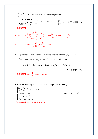$$
\frac{\partial^2 T}{\partial x^2} + \frac{\partial^2 T}{\partial y^2} = 0.
$$
 If the boundary conditions are given as  
\n
$$
T(x,0) = 0, T(x,h) = f(x)
$$
\n
$$
T(0,y) = 0, \frac{\partial T(\omega, y)}{\partial x} = c.
$$
 Solve  $T(x,y)$  for  $\begin{cases} c = 0 \\ c \neq 0 \end{cases}$  [91  $\overline{\otimes} \times$  Kégth (20%)]  
\n[ $\frac{\partial^2 T}{\partial x \partial x} = \frac{\partial T(\omega, y)}{\partial x}$ 

$$
\text{if } c = 0 \quad T = \frac{2}{\omega} \sum_{n=1}^{\infty} \frac{\sinh \frac{2n-1}{2\omega} \pi y}{\sinh \frac{2n-1}{2\omega} \pi h} \int_0^{\infty} f(x) \sin \frac{2n-1}{2\omega} \pi x dx + \sinh \frac{2n-1}{2\omega} \pi x
$$

當 $c ≠ 0$ , 1  $\frac{2}{n} \sum_{n=1}^{\infty} b_n \sin \frac{2n-1}{n}$  $\sum_{n=1}^{n} \frac{\nu_n}{n}$  2  $T = u + cx = \frac{2}{\omega} \sum_{n=1}^{\infty} b_n \sin \frac{2n-1}{2\omega} \pi x + cx$ ∞  $= u + cx = \frac{2}{\omega} \sum_{n=1}^{\infty} b_n \sin \frac{2n-1}{2\omega} \pi x +$ 

3. By the method of separation of variables, find the solution  $u(x, y)$  of the Poisson equation  $u_{xx} + u_{yy} = \cos(\pi y)$ , in the semi-infinite strip

 $0 \le x < \infty$ ,  $0 \le y \le 1$ , such that  $u(0, y) = y$ ,  $u_y(x, 0) = u_y(x, 1) = 0$ .

【91 中央機械 25%】

[
$$
d^*
$$
 $\circ$   $\circ$   $\circ$   $\circ$   $\circ$   $\circ$   $\circ$   $\circ$   $\pi$   $\circ$   $\circ$   $\pi$   $\circ$   $\circ$   $\pi$   $\circ$   $\circ$   $\pi$   $\circ$   $\circ$   $\pi$   $\circ$   $\circ$   $\pi$   $\circ$   $\circ$   $\pi$   $\circ$   $\circ$   $\pi$   $\circ$   $\circ$   $\pi$   $\circ$   $\circ$   $\circ$   $\pi$   $\circ$   $\circ$   $\pi$   $\circ$   $\circ$   $\pi$   $\circ$   $\circ$   $\pi$   $\circ$   $\circ$   $\circ$   $\pi$   $\circ$   $\circ$   $\circ$   $\pi$   $\circ$   $\circ$   $\pi$   $\circ$   $\circ$   $\pi$   $\circ$   $\circ$   $\pi$   $\circ$   $\circ$   $\pi$   $\circ$   $\circ$   $\pi$   $\circ$   $\circ$   $\pi$   $\circ$   $\circ$   $\pi$   $\circ$   $\circ$   $\pi$   $\circ$   $\circ$   $\pi$   $\circ$   $\circ$   $\pi$   $\circ$   $\circ$   $\pi$   $\circ$   $\circ$   $\pi$   $\circ$   $\circ$   $\pi$   $\circ$   $\circ$   $\pi$   $\circ$   $\circ$   $\pi$   $\circ$   $\circ$   $\pi$   $\circ$   $\circ$   $\pi$   $\circ$   $\circ$   $\pi$ 

4. Solve the following initial-boundary0valued problem of  $u(x,t)$ .

$$
\begin{cases}\n\frac{\partial u}{\partial t} = \frac{\partial^2 u}{\partial x^2}, & 0 < x < 1, \ t > 0 \\
u(0, t) = t, \ t > 0 \\
u(1, t) = 1, \ t > 0\n\end{cases}
$$
\n
$$
\begin{bmatrix}\n89 \text{ }\text{if } \text{if } 25\% \text{ }\text{if } \\
u(x, 0) = x, \ 0 < x < 1\n\end{bmatrix}
$$
\n
$$
\begin{cases}\n\frac{\partial u}{\partial t} = \frac{\partial^2 u}{\partial x^2}, & 0 < x < 1 \\
u(x, 0) = x, \ 0 < x < 1\n\end{cases}
$$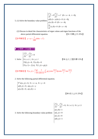- 5. (1) Solve the boundary value problem  $\frac{2y}{(x^2+1)^2} = 9 \frac{\partial^2 y}{\partial x^2} + x^2$  (0 < x < 4, t  $\begin{cases} y(0,t) = y(4,t) = 0 \ (t > 0), \end{cases}$  $y(x,0) = 0 \ (0 < x < 4),$  $\frac{dy}{dx}(x,0) = 0 \quad (0 < x < 4)$  $\frac{\partial^2 y}{\partial t^2} = 9 \frac{\partial^2 y}{\partial x^2} + x^2$  (0 < x < 4, t > 0), *t*  $\vert$ ∂  $\left|\frac{\partial y}{\partial t}(x,0) = 0 \right| (0 < x <$ 
	- (2) Discuss in detail the characteristics of eigen values and eigen functions of the above partial differential equation.  $[91 \text{ }\mathbb{H} \mathbb{H} + \mathcal{K} 25\% ]$

[
$$
d^*
$$
 $3x^*$ ] $y=u+\frac{1}{108}(64x-x^4)$ 

座標轉化與重疊原理

$$
\left[\frac{\partial^2 T}{\partial x^2} + \frac{\partial^2 u}{\partial y^2} \right] = 0
$$

1. Solve  $\begin{cases} 0 \le x \le \ell, & 0 \le y \le \ell \end{cases}$  (90 台大工程科學 15% )  $T(0, y) = 0, T(x, 0) = 0$  $T(x, \ell) = f(x), T(\ell, y) = g(y)$ 

$$
\int \mathcal{L} \otimes \mathcal{L} \otimes \mathcal{L} \otimes \mathcal{L} \otimes \mathcal{L} \otimes \mathcal{L}
$$
\n
$$
\int_{0}^{\infty} \mathcal{L} \otimes \mathcal{L} \otimes \mathcal{L} \otimes \mathcal{L} \otimes \mathcal{L} \otimes \mathcal{L} \otimes \mathcal{L} \otimes \mathcal{L} \otimes \mathcal{L} \otimes \mathcal{L} \otimes \mathcal{L} \otimes \mathcal{L} \otimes \mathcal{L} \otimes \mathcal{L} \otimes \mathcal{L} \otimes \mathcal{L} \otimes \mathcal{L} \otimes \mathcal{L} \otimes \mathcal{L} \otimes \mathcal{L} \otimes \mathcal{L} \otimes \mathcal{L} \otimes \mathcal{L} \otimes \mathcal{L} \otimes \mathcal{L} \otimes \mathcal{L} \otimes \mathcal{L} \otimes \mathcal{L} \otimes \mathcal{L} \otimes \mathcal{L} \otimes \mathcal{L} \otimes \mathcal{L} \otimes \mathcal{L} \otimes \mathcal{L} \otimes \mathcal{L} \otimes \mathcal{L} \otimes \mathcal{L} \otimes \mathcal{L} \otimes \mathcal{L} \otimes \mathcal{L} \otimes \mathcal{L} \otimes \mathcal{L} \otimes \mathcal{L} \otimes \mathcal{L} \otimes \mathcal{L} \otimes \mathcal{L} \otimes \mathcal{L} \otimes \mathcal{L} \otimes \mathcal{L} \otimes \mathcal{L} \otimes \mathcal{L} \otimes \mathcal{L} \otimes \mathcal{L} \otimes \mathcal{L} \otimes \mathcal{L} \otimes \mathcal{L} \otimes \mathcal{L} \otimes \mathcal{L} \otimes \mathcal{L} \otimes \mathcal{L} \otimes \mathcal{L} \otimes \mathcal{L} \otimes \mathcal{L} \otimes \mathcal{L} \otimes \mathcal{L} \otimes \mathcal{L} \otimes \mathcal{L} \otimes \mathcal{L} \otimes \mathcal{L} \otimes \mathcal{L} \otimes \mathcal{L} \otimes \mathcal{L} \otimes \mathcal{L} \otimes \mathcal{L} \otimes \mathcal{L} \otimes \mathcal{L} \otimes \mathcal{L
$$

#### 2. Solve the following partial differential equation.

 $\nabla^2 u(x, y) = 0, \ 0 < x < a, \ 0 < y < b$  $\begin{cases} u(0, y) = 0, \ u(a, y) = y \end{cases}$  $u(x,0) = 0, u(x,b) = x$ 

【89 成大土木 25%】

3. Solve the following boundary-value problem  
\n
$$
\begin{cases}\n\frac{\partial^2 u}{\partial x^2} + \frac{\partial^2 u}{\partial y^2} = 0, & 0 \le x \le 1, \ 0 \le y \le 1 \\
u(x, 0) = 1 \\
u(1, y) = 0 \\
u(x, 1) = 0 \\
u(0, y) = 1\n\end{cases}
$$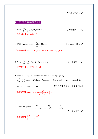【90成大造船20%】

## 一階 P.D.E 與其解間之關係

1. Solve 
$$
\frac{\partial u}{\partial x} = \frac{\partial u}{\partial t}, \quad u(x,0) = \sin x.
$$

\n[91:15%]\n
$$
\text{[91:15%]\n}
$$

2. 請解 Partial Equation  $\frac{\partial u}{\partial y} - y \frac{\partial u}{\partial z} = 0$  $\frac{\partial u}{\partial x} - y \frac{\partial u}{\partial y} =$ 。 【91 中央光電 10%】

$$
[h h h h h h h h h h h h h h h h h h h h h h h h h h h h h h h h h h h h h h h h h h h h h h h h h h h h h h h h h h h h h h h h h h h h h h h h h h h h h h h h h h h h h h h h h h h h h h h h h h h h h h h h h h h h <
$$

3. Solve 
$$
\frac{\partial u}{\partial x} + \frac{\partial u}{\partial y} + 2u = 0
$$
,  $u(x, 0) = \sin x$ . [91  $\pm \pi$ ]  
[91  $\pm \pi$ ]  
[91  $\pm \pi$ ]  
[91  $\pm \pi$ ]  
[91  $\pm \pi$ ]  
[91  $\pm \pi$ ]  
[91  $\pm \pi$ ]  
[91  $\pm \pi$ ]  
[91  $\pm \pi$ ]  
[91  $\pm \pi$ ]  
[91  $\pm \pi$ ]  
[91  $\pm \pi$ ]  
[91  $\pm \pi$ ]  
[91  $\pm \pi$ ]  
[91  $\pm \pi$ ]  
[91  $\pm \pi$ ]  
[91  $\pm \pi$ ]  
[91  $\pm \pi$ ]  
[91  $\pm \pi$ ]  
[91  $\pm \pi$ ]  
[91  $\pm \pi$ ]  
[91  $\pm \pi$ ]  
[91  $\pm \pi$ ]  
[91  $\pm \pi$ ]  
[91  $\pm \pi$ ]  
[91  $\pm \pi$ ]  
[91  $\pm \pi$ ]  
[91  $\pm \pi$ ]  
[91  $\pm \pi$ ]  
[91  $\pm \pi$ ]  
[91  $\pm \pi$ ]  
[91  $\pm \pi$ ]  
[91  $\pm \pi$ ]  
[91  $\pm \pi$ ]  
[91  $\pm \pi$ ]  
[91  $\pm \pi$ ]  
[91  $\pm \pi$ ]  
[91  $\pm \pi$ ]  
[91  $\pm \pi$ ]  
[91  $\pm \pi$ ]  
[91  $\pm \pi$ ]  
[91  $\pm \pi$ ]  
[91  $\pm \pi$ ]  
[91  $\pm \pi$ ]  
[91  $\pm \pi$ ]  
[91  $\pm \pi$ ]  
[91  $\pm \pi$ ]  
[91  $\pm \pi$ ]  
[91  $\pm \pi$ ]  
[91  $\pm \pi$ ]  
[91  $\pm \pi$ ]<

4. Solve following PDE with boundary condition  $A(0, t) = A_0$ ,

$$
(\frac{\partial}{\partial x} + \frac{n}{c} \frac{\partial}{\partial t})A(x,t) = i\beta \sin(\omega t - kx) \cdot A(x,t).
$$
 Here *x* and *t* are variable, *c*, *n*, i, *\beta*,

 $\omega$ ,  $A_0$  are constants  $i = \sqrt{-1}$ . 【90 元智電機微波、光電組 20%】

$$
\text{[}\text{#}\text{#}\text{#}\text{#}\text{ }f(y) = A_0 \cdot \exp[\frac{-i\beta}{k - \frac{n}{c}\omega} \cos(\frac{\omega}{c}y)]
$$

5. Solve the system 
$$
\frac{dx}{x^2 + y^2 - yz} = \frac{dy}{-x^2 - y^2 + xz} = \frac{dz}{(x - y)z}.
$$

【88交大電子7%】

[
$$
\text{③
$$
 等等解显  $\begin{cases} x^2 + y^2 = C_1 z^2 \\ x + y - z = C_2 \end{cases}$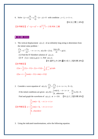6. Solve  $(y+z)\frac{\partial z}{\partial z} + y\frac{\partial z}{\partial z} - (x-y) = 0$  $x \rightarrow \partial y$  $(z+ z) \frac{\partial z}{\partial x} + y \frac{\partial z}{\partial y} - (x - y) = 0$  with condition  $y = 1, z = 1 + x$ .

【92淡江環工20%】

$$
[
$$
 **d 25 25 35 36 27 37 37 47 38 39 39 39 39 39 39 39 39 39 39 39 39 39 39 39 39 39 39 39 39 39 39 39 39 39 39 39 39 39 39 39 39 39 39 39 39 39 39 39 39 39 39 39 39 39 39 39 39 39 39 39 39 39 39 39 39 39 39 39 39 39 39 39 39 39 39 39 39 39 39 39 39 39 39 39 39 39 39 39 39 39 39 39 39 3**

#### 常係數 P.D.E.

- 1. The vertical displacement  $u(x,t)$  of an infinitely long string is determines from the initial-value problem:
- $^{2}u$   $\qquad$   $C^{2}$   $\partial^{2}$  $\frac{u}{2} = C^2 \frac{\partial^2 u}{\partial x^2}$ ,  $-\infty < x < \infty$ ,  $u(x,0) = f(x)$ ,  $\frac{\partial u(x,0)}{\partial x}$  $t^2$   $\partial x^2$ ,  $\cdots$ ,  $\cdots$ ,  $\cdots$ ,  $\cdots$ ,  $\partial t$  $\frac{\partial^2 u}{\partial t^2} = C^2 \frac{\partial^2 u}{\partial x^2}$ ,  $-\infty < x < \infty$ ,  $u(x, 0) = f(x)$ ,  $\frac{\partial u(x, 0)}{\partial t} = g(x)$ . (1) Find the D'Alembert solution of  $u(x,t)$ . (2) If  $f(x) = \sin(x), g(x) = 1$ , find  $u(x,t)$ . 【91 逢甲十木 20% 】91 成大工程科學 20%】 【參考解答】

$$
(1) u = \frac{1}{2} [f(x - Ct) + f(x + Ct)] + \frac{1}{2c} \int_{x - Ct}^{x + Ct} g(x) dx
$$
  

$$
(2) u = t + \frac{1}{2} [son(x - Ct) + sin(x + Ct)]
$$

2. Consider a wave equation of  $u(x,t), \ \frac{\partial^2 u}{\partial t^2} = \frac{\partial^2 u}{\partial x^2} \ \left(-\infty < x < \infty, \ 0 < t\right)$  $\partial t^2$   $\partial x$  $\frac{\partial^2 u}{\partial t^2} = \frac{\partial^2 u}{\partial x^2}$  (- $\infty < x < \infty$ , 0 < t), if the initial conditions are given  $u(x, 0) = \begin{cases} \cos(x), & -\pi < x \\ 0, & \text{otherwise} \end{cases}$ *u x*  $=\begin{cases} \cos(x), & -\pi < x < \pi \\ 0, & otherwise \end{cases}$  $\overline{\mathcal{L}}$  $\frac{\partial u}{\partial x}(x,0) = 0$  $\frac{\partial u}{\partial t}(x,0) = 0.$ Find and graph the waveform of  $u(x,t)$  at  $t = 3.0$ . 【91台大工程科學20%】

$$
\left[\frac{1}{2}\cos(x-1), -\pi \le x-t \le \pi \right]
$$

$$
u = \begin{cases} \frac{1}{2}\cos(x+1), -\pi \le x+t \le \pi \\ \frac{1}{2}\cos(x+1), -\pi \le x+t \le \pi \\ 0, \text{ elsewhere} \end{cases}
$$

3. Using the indicated transformations, solve the following equation.